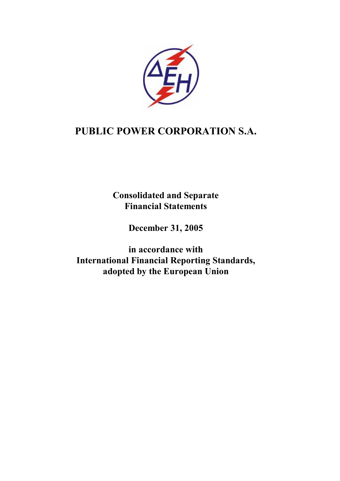

# **PUBLIC POWER CORPORATION S.A.**

**Consolidated and Separate Financial Statements** 

**December 31, 2005** 

**in accordance with International Financial Reporting Standards, adopted by the European Union**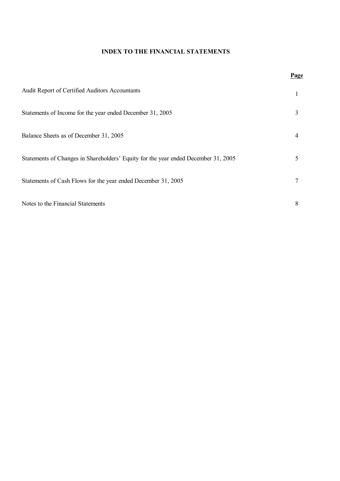### **INDEX TO THE FINANCIAL STATEMENTS**

|                                                                                    | <u>1 agu</u> |
|------------------------------------------------------------------------------------|--------------|
| Audit Report of Certified Auditors Accountants                                     |              |
| Statements of Income for the year ended December 31, 2005                          | 3            |
| Balance Sheets as of December 31, 2005                                             | 4            |
| Statements of Changes in Shareholders' Equity for the year ended December 31, 2005 | 5            |
| Statements of Cash Flows for the year ended December 31, 2005                      |              |
| Notes to the Financial Statements                                                  | 8            |

## **Page**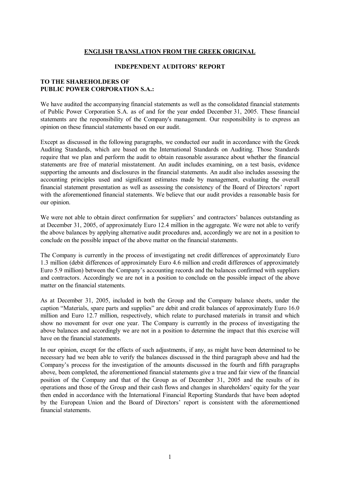### **ENGLISH TRANSLATION FROM THE GREEK ORIGINAL**

#### **INDEPENDENT AUDITORS' REPORT**

### **TO THE SHAREHOLDERS OF PUBLIC POWER CORPORATION S.A.:**

We have audited the accompanying financial statements as well as the consolidated financial statements of Public Power Corporation S.A. as of and for the year ended December 31, 2005. These financial statements are the responsibility of the Company's management. Our responsibility is to express an opinion on these financial statements based on our audit.

Except as discussed in the following paragraphs, we conducted our audit in accordance with the Greek Auditing Standards, which are based on the International Standards on Auditing. Those Standards require that we plan and perform the audit to obtain reasonable assurance about whether the financial statements are free of material misstatement. An audit includes examining, on a test basis, evidence supporting the amounts and disclosures in the financial statements. An audit also includes assessing the accounting principles used and significant estimates made by management, evaluating the overall financial statement presentation as well as assessing the consistency of the Board of Directors' report with the aforementioned financial statements. We believe that our audit provides a reasonable basis for our opinion.

We were not able to obtain direct confirmation for suppliers' and contractors' balances outstanding as at December 31, 2005, of approximately Euro 12.4 million in the aggregate. We were not able to verify the above balances by applying alternative audit procedures and, accordingly we are not in a position to conclude on the possible impact of the above matter on the financial statements.

The Company is currently in the process of investigating net credit differences of approximately Euro 1.3 million (debit differences of approximately Euro 4.6 million and credit differences of approximately Euro 5.9 million) between the Company's accounting records and the balances confirmed with suppliers and contractors. Accordingly we are not in a position to conclude on the possible impact of the above matter on the financial statements.

As at December 31, 2005, included in both the Group and the Company balance sheets, under the caption "Materials, spare parts and supplies" are debit and credit balances of approximately Euro 16.0 million and Euro 12.7 million, respectively, which relate to purchased materials in transit and which show no movement for over one year. The Company is currently in the process of investigating the above balances and accordingly we are not in a position to determine the impact that this exercise will have on the financial statements.

In our opinion, except for the effects of such adjustments, if any, as might have been determined to be necessary had we been able to verify the balances discussed in the third paragraph above and had the Company's process for the investigation of the amounts discussed in the fourth and fifth paragraphs above, been completed, the aforementioned financial statements give a true and fair view of the financial position of the Company and that of the Group as of December 31, 2005 and the results of its operations and those of the Group and their cash flows and changes in shareholders' equity for the year then ended in accordance with the International Financial Reporting Standards that have been adopted by the European Union and the Board of Directors' report is consistent with the aforementioned financial statements.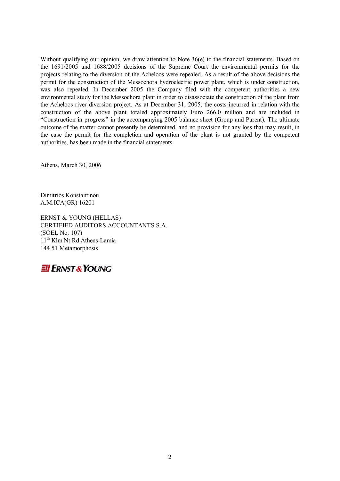Without qualifying our opinion, we draw attention to Note 36(e) to the financial statements. Based on the 1691/2005 and 1688/2005 decisions of the Supreme Court the environmental permits for the projects relating to the diversion of the Acheloos were repealed. As a result of the above decisions the permit for the construction of the Messochora hydroelectric power plant, which is under construction, was also repealed. In December 2005 the Company filed with the competent authorities a new environmental study for the Messochora plant in order to disassociate the construction of the plant from the Acheloos river diversion project. As at December 31, 2005, the costs incurred in relation with the construction of the above plant totaled approximately Euro 266.0 million and are included in "Construction in progress" in the accompanying 2005 balance sheet (Group and Parent). The ultimate outcome of the matter cannot presently be determined, and no provision for any loss that may result, in the case the permit for the completion and operation of the plant is not granted by the competent authorities, has been made in the financial statements.

Athens, March 30, 2006

Dimitrios Konstantinou A.M.ICA(GR) 16201

ERNST & YOUNG (HELLAS) CERTIFIED AUDITORS ACCOUNTANTS S.A. (SOEL No. 107) 11<sup>th</sup> Klm Nt Rd Athens-Lamia 144 51 Metamorphosis

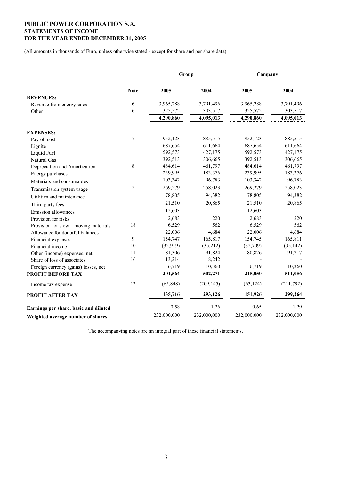### **PUBLIC POWER CORPORATION S.A. STATEMENTS OF INCOME FOR THE YEAR ENDED DECEMBER 31, 2005**

(All amounts in thousands of Euro, unless otherwise stated - except for share and per share data)

|                                       | Group          |             |             | Company     |             |  |
|---------------------------------------|----------------|-------------|-------------|-------------|-------------|--|
|                                       | <b>Note</b>    | 2005        | 2004        | 2005        | 2004        |  |
| <b>REVENUES:</b>                      |                |             |             |             |             |  |
| Revenue from energy sales             | 6              | 3,965,288   | 3,791,496   | 3,965,288   | 3,791,496   |  |
| Other                                 | 6              | 325,572     | 303,517     | 325,572     | 303,517     |  |
|                                       |                | 4,290,860   | 4,095,013   | 4,290,860   | 4,095,013   |  |
| <b>EXPENSES:</b>                      |                |             |             |             |             |  |
| Payroll cost                          | 7              | 952,123     | 885,515     | 952,123     | 885,515     |  |
| Lignite                               |                | 687,654     | 611,664     | 687,654     | 611,664     |  |
| Liquid Fuel                           |                | 592,573     | 427,175     | 592,573     | 427,175     |  |
| Natural Gas                           |                | 392,513     | 306,665     | 392,513     | 306,665     |  |
| Depreciation and Amortization         | 8              | 484,614     | 461,797     | 484,614     | 461,797     |  |
| Energy purchases                      |                | 239,995     | 183,376     | 239,995     | 183,376     |  |
| Materials and consumables             |                | 103,342     | 96,783      | 103,342     | 96,783      |  |
| Transmission system usage             | $\overline{2}$ | 269,279     | 258,023     | 269,279     | 258,023     |  |
| Utilities and maintenance             |                | 78,805      | 94,382      | 78,805      | 94,382      |  |
| Third party fees                      |                | 21,510      | 20,865      | 21,510      | 20,865      |  |
| Emission allowances                   |                | 12,603      |             | 12,603      |             |  |
| Provision for risks                   |                | 2,683       | 220         | 2,683       | 220         |  |
| Provision for slow – moving materials | 18             | 6,529       | 562         | 6,529       | 562         |  |
| Allowance for doubtful balances       |                | 22,006      | 4,684       | 22,006      | 4,684       |  |
| Financial expenses                    | 9              | 154,747     | 165,817     | 154,745     | 165,811     |  |
| Financial income                      | 10             | (32, 919)   | (35,212)    | (32,709)    | (35, 142)   |  |
| Other (income) expenses, net          | 11             | 81,306      | 91,824      | 80,826      | 91,217      |  |
| Share of loss of associates           | 16             | 13,214      | 8,242       |             |             |  |
| Foreign currency (gains) losses, net  |                | 6,719       | 10,360      | 6,719       | 10,360      |  |
| PROFIT BEFORE TAX                     |                | 201,564     | 502,271     | 215,050     | 511,056     |  |
| Income tax expense                    | 12             | (65, 848)   | (209, 145)  | (63, 124)   | (211,792)   |  |
| PROFIT AFTER TAX                      |                | 135,716     | 293,126     | 151,926     | 299,264     |  |
| Earnings per share, basic and diluted |                | 0.58        | 1.26        | 0.65        | 1.29        |  |
| Weighted average number of shares     |                | 232,000,000 | 232,000,000 | 232,000,000 | 232,000,000 |  |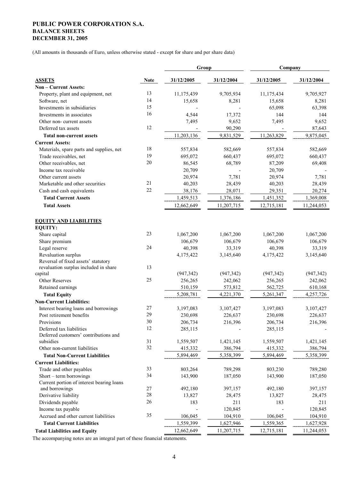### **PUBLIC POWER CORPORATION S.A. BALANCE SHEETS DECEMBER 31, 2005**

(All amounts in thousands of Euro, unless otherwise stated - except for share and per share data)

|                                                                      |             | Group      |            | Company    |            |  |
|----------------------------------------------------------------------|-------------|------------|------------|------------|------------|--|
| <b>ASSETS</b>                                                        | <b>Note</b> | 31/12/2005 | 31/12/2004 | 31/12/2005 | 31/12/2004 |  |
| Non - Current Assets:                                                |             |            |            |            |            |  |
| Property, plant and equipment, net                                   | 13          | 11,175,439 | 9,705,934  | 11,175,434 | 9,705,927  |  |
| Software, net                                                        | 14          | 15,658     | 8,281      | 15,658     | 8,281      |  |
| Investments in subsidiaries                                          | 15          |            |            | 65,098     | 63,398     |  |
| Investments in associates                                            | 16          | 4,544      | 17,372     | 144        | 144        |  |
| Other non-current assets                                             |             | 7,495      | 9,652      | 7,495      | 9,652      |  |
| Deferred tax assets                                                  | 12          |            | 90,290     |            | 87,643     |  |
| <b>Total non-current assets</b>                                      |             | 11,203,136 | 9,831,529  | 11,263,829 | 9,875,045  |  |
| <b>Current Assets:</b>                                               |             |            |            |            |            |  |
| Materials, spare parts and supplies, net                             | 18          | 557,834    | 582,669    | 557,834    | 582,669    |  |
| Trade receivables, net                                               | 19          | 695,072    | 660,437    | 695,072    | 660,437    |  |
| Other receivables, net                                               | 20          | 86,545     | 68,789     | 87,209     | 69,408     |  |
| Income tax receivable                                                |             | 20,709     |            | 20,709     |            |  |
| Other current assets                                                 |             | 20,974     | 7,781      | 20,974     | 7,781      |  |
| Marketable and other securities                                      | 21          | 40,203     | 28,439     | 40,203     | 28,439     |  |
| Cash and cash equivalents                                            | 22          | 38,176     | 28,071     | 29,351     | 20,274     |  |
| <b>Total Current Assets</b>                                          |             | 1,459,513  | 1,376,186  | 1,451,352  | 1,369,008  |  |
| <b>Total Assets</b>                                                  |             | 12,662,649 | 11,207,715 | 12,715,181 | 11,244,053 |  |
|                                                                      |             |            |            |            |            |  |
| <b>EQUITY AND LIABILITIES</b>                                        |             |            |            |            |            |  |
| <b>EQUITY:</b>                                                       |             |            |            |            |            |  |
| Share capital                                                        | 23          | 1,067,200  | 1,067,200  | 1,067,200  | 1,067,200  |  |
| Share premium                                                        |             | 106,679    | 106,679    | 106,679    | 106,679    |  |
| Legal reserve                                                        | 24          | 40,398     | 33,319     | 40,398     | 33,319     |  |
| Revaluation surplus                                                  |             | 4,175,422  | 3,145,640  | 4,175,422  | 3,145,640  |  |
| Reversal of fixed assets' statutory                                  |             |            |            |            |            |  |
| revaluation surplus included in share                                | 13          |            |            |            |            |  |
| capital                                                              | 25          | (947, 342) | (947, 342) | (947, 342) | (947, 342) |  |
| Other Reserves                                                       |             | 256,265    | 242,062    | 256,265    | 242,062    |  |
| Retained earnings                                                    |             | 510,159    | 573,812    | 562,725    | 610,168    |  |
| <b>Total Equity</b>                                                  |             | 5,208,781  | 4,221,370  | 5,261,347  | 4,257,726  |  |
| <b>Non-Current Liabilities:</b>                                      |             |            |            |            |            |  |
| Interest bearing loans and borrowings                                | 27          | 3,197,083  | 3,107,427  | 3,197,083  | 3,107,427  |  |
| Post retirement benefits                                             | 29          | 230,698    | 226,637    | 230,698    | 226,637    |  |
| Provisions                                                           | 30          | 206,734    | 216,396    | 206,734    | 216,396    |  |
| Deferred tax liabilities                                             | 12          | 285,115    |            | 285,115    |            |  |
| Deferred customers' contributions and<br>subsidies                   | 31          | 1,559,507  | 1,421,145  | 1,559,507  | 1,421,145  |  |
| Other non-current liabilities                                        | 32          | 415,332    | 386,794    | 415,332    | 386,794    |  |
| <b>Total Non-Current Liabilities</b>                                 |             | 5,894,469  |            |            |            |  |
|                                                                      |             |            | 5,358,399  | 5,894,469  | 5,358,399  |  |
| <b>Current Liabilities:</b><br>Trade and other payables              | 33          |            |            |            |            |  |
|                                                                      | 34          | 803,264    | 789,298    | 803,230    | 789,280    |  |
| Short – term borrowings<br>Current portion of interest bearing loans |             | 143,900    | 187,050    | 143,900    | 187,050    |  |
| and borrowings                                                       | 27          | 492,180    | 397,157    | 492,180    | 397,157    |  |
| Derivative liability                                                 | 28          | 13,827     | 28,475     | 13,827     | 28,475     |  |
| Dividends payable                                                    | 26          | 183        | 211        | 183        | 211        |  |
| Income tax payable                                                   |             |            | 120,845    |            | 120,845    |  |
| Accrued and other current liabilities                                | 35          | 106,045    | 104,910    | 106,045    | 104,910    |  |
| <b>Total Current Liabilities</b>                                     |             | 1,559,399  | 1,627,946  | 1,559,365  | 1,627,928  |  |
| <b>Total Liabilities and Equity</b>                                  |             | 12,662,649 | 11,207,715 | 12,715,181 | 11,244,053 |  |
|                                                                      |             |            |            |            |            |  |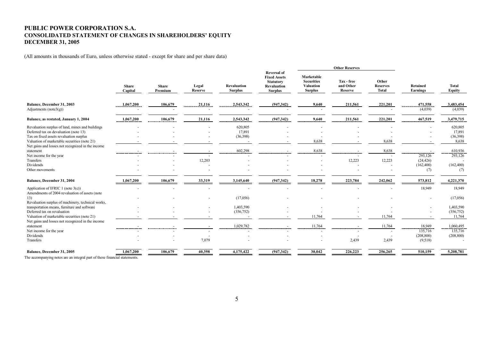#### **PUBLIC POWER CORPORATION S.A. CONSOLIDATED STATEMENT OF CHANGES IN SHAREHOLDERS' EQUITY DECEMBER 31, 2005**

(All amounts in thousands of Euro, unless otherwise stated - except for share and per share data)

|                                                                                         |                         |                         |                         |                                      |                                                                                                       | <b>Other Reserves</b>                                                 |                                    |                                          |                             |                               |
|-----------------------------------------------------------------------------------------|-------------------------|-------------------------|-------------------------|--------------------------------------|-------------------------------------------------------------------------------------------------------|-----------------------------------------------------------------------|------------------------------------|------------------------------------------|-----------------------------|-------------------------------|
|                                                                                         | <b>Share</b><br>Capital | <b>Share</b><br>Premium | Legal<br><b>Reserve</b> | <b>Revaluation</b><br><b>Surplus</b> | <b>Reversal of</b><br><b>Fixed Assets</b><br><b>Statutory</b><br><b>Revaluation</b><br><b>Surplus</b> | Marketable<br><b>Securities</b><br><b>Valuation</b><br><b>Surplus</b> | Tax - free<br>and Other<br>Reserve | Other<br><b>Reserves</b><br><b>Total</b> | <b>Retained</b><br>Earnings | <b>Total</b><br><b>Equity</b> |
| Balance, December 31, 2003                                                              | 1,067,200               | 106,679                 | 21,116                  | 2,543,342                            | (947, 342)                                                                                            | 9,640                                                                 | 211,561                            | 221,201                                  | 471,558                     | 3,483,454                     |
| Adjustments ( $note3(g)$ )                                                              |                         |                         |                         |                                      |                                                                                                       |                                                                       |                                    |                                          | (4,039)                     | (4,039)                       |
| Balance, as restated, January 1, 2004                                                   | 1,067,200               | 106,679                 | 21,116                  | 2,543,342                            | (947, 342)                                                                                            | $\frac{9,640}{2}$                                                     | 211,561                            | 221,201                                  | $\frac{467,519}{2}$         | 3,479,715                     |
| Revaluation surplus of land, mines and buildings                                        |                         |                         |                         | 620,805                              |                                                                                                       |                                                                       |                                    |                                          |                             | 620,805                       |
| Deferred tax on devaluation (note 13)                                                   |                         |                         |                         | 17,891                               |                                                                                                       |                                                                       |                                    |                                          |                             | 17,891                        |
| Tax on fixed assets revaluation surplus                                                 |                         |                         |                         | (36,398)                             |                                                                                                       |                                                                       |                                    |                                          |                             | (36,398)                      |
| Valuation of marketable securities (note 21)                                            |                         |                         |                         |                                      |                                                                                                       | 8,638                                                                 |                                    | 8,638                                    |                             | 8,638                         |
| Net gains and losses not recognized in the income<br>statement                          |                         |                         |                         |                                      |                                                                                                       | 8,638                                                                 |                                    | 8,638                                    |                             | 610,936                       |
| Net income for the year                                                                 | -----------------       |                         |                         |                                      |                                                                                                       |                                                                       | ---------<br>-----------           |                                          | .<br>--------<br>293,126    | 293,126                       |
| Transfers                                                                               |                         |                         | 12,203                  |                                      |                                                                                                       |                                                                       | 12,223                             | 12,223                                   | (24, 426)                   |                               |
| Dividends                                                                               |                         |                         |                         |                                      |                                                                                                       |                                                                       |                                    |                                          | (162, 400)                  | (162, 400)                    |
| Other movements                                                                         |                         |                         |                         |                                      |                                                                                                       |                                                                       |                                    |                                          | (7)                         | (7)                           |
| Balance, December 31, 2004                                                              | 1,067,200               | 106,679                 | 33,319                  | 3,145,640                            | (947, 342)                                                                                            | 18,278                                                                | 223,784                            | 242,062                                  | 573,812                     | 4,221,370                     |
| Application of IFRIC 1 (note $3(c)$ )<br>Amendments of 2004 revaluation of assets (note |                         |                         |                         |                                      |                                                                                                       |                                                                       |                                    |                                          | 18,949                      | 18,949                        |
| 13)                                                                                     |                         |                         |                         | (17,056)                             |                                                                                                       |                                                                       |                                    |                                          | $\overline{\phantom{a}}$    | (17,056)                      |
| Revaluation surplus of machinery, technical works,                                      |                         |                         |                         |                                      |                                                                                                       |                                                                       |                                    |                                          |                             |                               |
| transportation means, furniture and software                                            |                         |                         |                         | 1,403,590                            |                                                                                                       |                                                                       |                                    |                                          |                             | 1,403,590                     |
| Deferred tax on revaluation                                                             |                         |                         |                         | (356, 752)                           |                                                                                                       |                                                                       |                                    |                                          |                             | (356, 752)                    |
| Valuation of marketable securities (note 21)                                            |                         |                         |                         |                                      |                                                                                                       | 11,764                                                                |                                    | 11,764                                   |                             | 11,764                        |
| Net gains and losses not recognized in the income                                       |                         |                         |                         |                                      |                                                                                                       |                                                                       |                                    |                                          |                             |                               |
| statement                                                                               | ------------------      |                         |                         | 1,029,782                            |                                                                                                       | $\frac{11,764}{2}$                                                    | ----------------------             | 11,764                                   | 18,949                      | 1,060,495                     |
| Net income for the year                                                                 |                         |                         |                         |                                      |                                                                                                       |                                                                       |                                    |                                          | 135,716                     | 135,716                       |
| Dividends                                                                               |                         |                         |                         |                                      |                                                                                                       |                                                                       |                                    |                                          | (208, 800)                  | (208, 800)                    |
| Transfers                                                                               |                         |                         | 7,079                   |                                      |                                                                                                       |                                                                       | 2,439                              | 2,439                                    | (9,518)                     |                               |
| Balance, December 31, 2005                                                              | 1,067,200               | 106,679                 | 40,398                  | 4,175,422                            | (947,342)                                                                                             | 30,042                                                                | 226,223                            | 256,265                                  | 510,159                     | 5,208,781                     |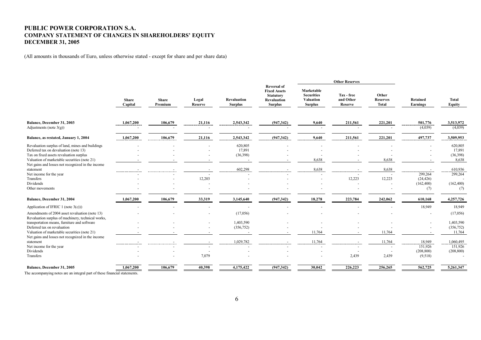#### **PUBLIC POWER CORPORATION S.A. COMPANY STATEMENT OF CHANGES IN SHAREHOLDERS' EQUITY DECEMBER 31, 2005**

(All amounts in thousands of Euro, unless otherwise stated - except for share and per share data)

|                                                                                                                                                                                      |                         |                         |                  |                                      | <b>Other Reserves</b>                                                                                 |                                                                       |                                           |                                          |                                  |                                        |
|--------------------------------------------------------------------------------------------------------------------------------------------------------------------------------------|-------------------------|-------------------------|------------------|--------------------------------------|-------------------------------------------------------------------------------------------------------|-----------------------------------------------------------------------|-------------------------------------------|------------------------------------------|----------------------------------|----------------------------------------|
|                                                                                                                                                                                      | <b>Share</b><br>Capital | <b>Share</b><br>Premium | Legal<br>Reserve | <b>Revaluation</b><br><b>Surplus</b> | <b>Reversal of</b><br><b>Fixed Assets</b><br><b>Statutory</b><br><b>Revaluation</b><br><b>Surplus</b> | Marketable<br><b>Securities</b><br><b>Valuation</b><br><b>Surplus</b> | Tax - free<br>and Other<br><b>Reserve</b> | Other<br><b>Reserves</b><br><b>Total</b> | Retained<br>Earnings             | <b>Total</b><br>Equity                 |
|                                                                                                                                                                                      |                         |                         |                  |                                      |                                                                                                       |                                                                       |                                           |                                          |                                  |                                        |
| Balance, December 31, 2003<br>Adjustments (note $3(g)$ )                                                                                                                             | 1,067,200               | 106,679                 | 21,116           | 2,543,342                            | (947, 342)                                                                                            | 9,640                                                                 | 211,561                                   | 221,201                                  | 501,776<br>(4,039)               | 3,513,972<br>(4,039)                   |
| Balance, as restated, January 1, 2004                                                                                                                                                | 1,067,200               | 106,679                 | 21,116           | 2,543,342                            | (947, 342)                                                                                            | 9,640                                                                 | 211,561                                   | 221,201                                  | 497,737                          | 3,509,953                              |
| Revaluation surplus of land, mines and buildings<br>Deferred tax on devaluation (note 13)<br>Tax on fixed assets revaluation surplus<br>Valuation of marketable securities (note 21) |                         |                         |                  | 620,805<br>17,891<br>(36,398)        |                                                                                                       | 8,638                                                                 |                                           | 8,638                                    |                                  | 620,805<br>17,891<br>(36,398)<br>8,638 |
| Net gains and losses not recognized in the income<br>statement<br>Net income for the year                                                                                            | -----------------       |                         |                  | 602,298                              |                                                                                                       | 8,638                                                                 |                                           | 8,638<br>$\overline{a}$                  | 299,264                          | 610,936<br>299,264                     |
| Transfers<br>Dividends<br>Other movements                                                                                                                                            |                         |                         | 12,203           |                                      |                                                                                                       |                                                                       | 12,223                                    | 12,223                                   | (24, 426)<br>(162, 400)<br>(7)   | (162, 400)<br>(7)                      |
| Balance, December 31, 2004                                                                                                                                                           | 1,067,200               | 106,679                 | 33,319           | 3,145,640                            | (947, 342)                                                                                            | 18,278                                                                | 223,784                                   | 242,062                                  | 610,168                          | 4,257,726                              |
| Application of IFRIC 1 (note $3(c)$ ))                                                                                                                                               |                         |                         |                  |                                      |                                                                                                       |                                                                       |                                           |                                          | 18,949                           | 18,949                                 |
| Amendments of 2004 asset revaluation (note 13)<br>Revaluation surplus of machinery, technical works,                                                                                 |                         |                         |                  | (17,056)                             |                                                                                                       |                                                                       |                                           |                                          |                                  | (17,056)                               |
| transportation means, furniture and software<br>Deferred tax on revaluation<br>Valuation of marketable securities (note 21)                                                          |                         |                         |                  | 1,403,590<br>(356, 752)              |                                                                                                       | 11,764                                                                | $\overline{\phantom{a}}$                  | 11,764                                   |                                  | 1,403,590<br>(356, 752)<br>11,764      |
| Net gains and losses not recognized in the income<br>statement                                                                                                                       | -----------------       |                         |                  | 1,029,782                            |                                                                                                       | 11,764                                                                |                                           | 11,764                                   | 18,949                           | 1,060,495                              |
| Net income for the year<br>Dividends<br>Transfers                                                                                                                                    |                         |                         | 7,079            |                                      |                                                                                                       |                                                                       | 2,439                                     | $\blacksquare$<br>2,439                  | 151,926<br>(208, 800)<br>(9,518) | 151,926<br>(208, 800)                  |
| Balance, December 31, 2005                                                                                                                                                           | 1,067,200               | 106,679                 | 40,398           | 4,175,422                            | (947,342)                                                                                             | 30,042                                                                | 226,223                                   | 256,265                                  | 562,725                          | 5,261,347                              |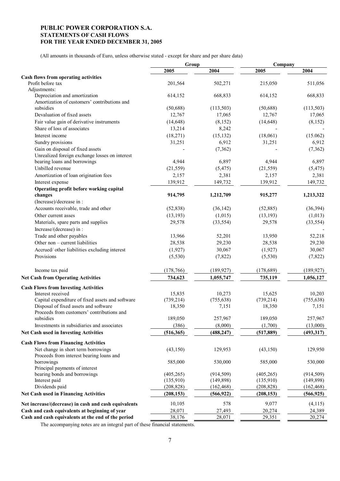#### **PUBLIC POWER CORPORATION S.A. STATEMENTS OF CASH FLOWS FOR THE YEAR ENDED DECEMBER 31, 2005**

(All amounts in thousands of Euro, unless otherwise stated - except for share and per share data)

|                                                                  | Group      |            | Company    |            |  |
|------------------------------------------------------------------|------------|------------|------------|------------|--|
|                                                                  | 2005       | 2004       | 2005       | 2004       |  |
| Cash flows from operating activities                             |            |            |            |            |  |
| Profit before tax                                                | 201,564    | 502,271    | 215,050    | 511,056    |  |
| Adjustments:                                                     |            |            |            |            |  |
| Depreciation and amortization                                    | 614,152    | 668,833    | 614,152    | 668,833    |  |
| Amortization of customers' contributions and                     |            |            |            |            |  |
| subsidies                                                        | (50, 688)  | (113, 503) | (50,688)   | (113, 503) |  |
| Devaluation of fixed assets                                      | 12,767     | 17,065     | 12,767     | 17,065     |  |
| Fair value gain of derivative instruments                        | (14, 648)  | (8, 152)   | (14, 648)  | (8, 152)   |  |
| Share of loss of associates                                      | 13,214     | 8,242      |            |            |  |
| Interest income                                                  | (18, 271)  | (15, 132)  | (18,061)   | (15.062)   |  |
| Sundry provisions                                                | 31,251     | 6,912      | 31,251     | 6,912      |  |
| Gain on disposal of fixed assets                                 |            | (7, 362)   |            | (7, 362)   |  |
| Unrealized foreign exchange losses on interest                   |            |            |            |            |  |
| bearing loans and borrowings                                     | 4,944      | 6,897      | 4,944      | 6,897      |  |
| Unbilled revenue                                                 | (21, 559)  | (5, 475)   | (21, 559)  | (5, 475)   |  |
| Amortization of loan origination fees                            | 2,157      | 2,381      | 2,157      | 2,381      |  |
| Interest expense                                                 | 139,912    | 149,732    | 139,912    | 149,732    |  |
| Operating profit before working capital                          |            |            |            |            |  |
| changes                                                          | 914,795    | 1,212,709  | 915,277    | 1,213,322  |  |
| (Increase)/decrease in :                                         |            |            |            |            |  |
| Accounts receivable, trade and other                             | (52, 838)  | (36, 142)  | (52, 885)  | (36, 394)  |  |
|                                                                  |            |            |            |            |  |
| Other current asses                                              | (13, 193)  | (1,015)    | (13, 193)  | (1,013)    |  |
| Materials, spare parts and supplies                              | 29,578     | (33, 554)  | 29,578     | (33, 554)  |  |
| Increase/(decrease) in:                                          |            |            |            |            |  |
| Trade and other payables                                         | 13,966     | 52,201     | 13,950     | 52,218     |  |
| Other non - current liabilities                                  | 28,538     | 29,230     | 28,538     | 29,230     |  |
| Accrued/ other liabilities excluding interest                    | (1, 927)   | 30,067     | (1, 927)   | 30,067     |  |
| Provisions                                                       | (5,530)    | (7, 822)   | (5,530)    | (7, 822)   |  |
| Income tax paid                                                  | (178, 766) | (189, 927) | (178, 689) | (189, 927) |  |
| <b>Net Cash from Operating Activities</b>                        | 734,623    | 1,055,747  | 735,119    | 1,056,127  |  |
|                                                                  |            |            |            |            |  |
| <b>Cash Flows from Investing Activities</b><br>Interest received | 15,835     | 10,273     | 15,625     | 10,203     |  |
| Capital expenditure of fixed assets and software                 | (739, 214) | (755, 638) | (739, 214) | (755, 638) |  |
| Disposal of fixed assets and software                            | 18,350     | 7,151      | 18,350     | 7,151      |  |
| Proceeds from customers' contributions and                       |            |            |            |            |  |
| subsidies                                                        | 189,050    | 257,967    | 189,050    | 257,967    |  |
| Investments in subsidiaries and associates                       | (386)      | (8,000)    | (1,700)    | (13,000)   |  |
| Net Cash used in Investing Activities                            | (516, 365) | (488, 247) | (517, 889) | (493, 317) |  |
|                                                                  |            |            |            |            |  |
| <b>Cash Flows from Financing Activities</b>                      |            |            |            |            |  |
| Net change in short term borrowings                              | (43, 150)  | 129,953    | (43, 150)  | 129,950    |  |
| Proceeds from interest bearing loans and                         |            |            |            |            |  |
| borrowings                                                       | 585,000    | 530,000    | 585,000    | 530,000    |  |
| Principal payments of interest                                   |            |            |            |            |  |
| bearing bonds and borrowings                                     | (405, 265) | (914, 509) | (405, 265) | (914, 509) |  |
| Interest paid                                                    | (135,910)  | (149, 898) | (135,910)  | (149, 898) |  |
| Dividends paid                                                   | (208, 828) | (162, 468) | (208, 828) | (162, 468) |  |
| Net Cash used in Financing Activities                            | (208, 153) | (566, 922) | (208, 153) | (566, 925) |  |
| Net increase/(decrease) in cash and cash equivalents             | 10,105     | 578        | 9,077      | (4,115)    |  |
| Cash and cash equivalents at beginning of year                   | 28,071     | 27,493     | 20,274     | 24,389     |  |
| Cash and cash equivalents at the end of the period               | 38,176     | 28,071     | 29,351     | 20,274     |  |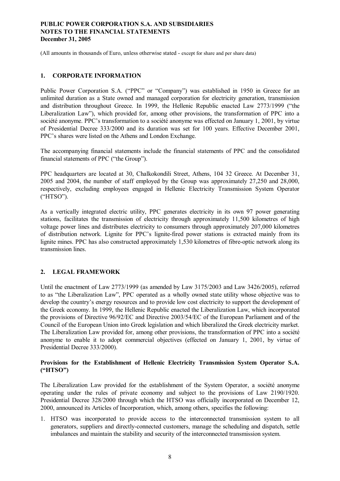(All amounts in thousands of Euro, unless otherwise stated - except for share and per share data)

#### **1. CORPORATE INFORMATION**

Public Power Corporation S.A. ("PPC" or "Company") was established in 1950 in Greece for an unlimited duration as a State owned and managed corporation for electricity generation, transmission and distribution throughout Greece. In 1999, the Hellenic Republic enacted Law 2773/1999 ("the Liberalization Law"), which provided for, among other provisions, the transformation of PPC into a société anonyme. PPC's transformation to a société anonyme was effected on January 1, 2001, by virtue of Presidential Decree 333/2000 and its duration was set for 100 years. Effective December 2001, PPC's shares were listed on the Athens and London Exchange.

The accompanying financial statements include the financial statements of PPC and the consolidated financial statements of PPC ("the Group").

PPC headquarters are located at 30, Chalkokondili Street, Athens, 104 32 Greece. At December 31, 2005 and 2004, the number of staff employed by the Group was approximately 27,250 and 28,000, respectively, excluding employees engaged in Hellenic Electricity Transmission System Operator ("HTSO").

As a vertically integrated electric utility, PPC generates electricity in its own 97 power generating stations, facilitates the transmission of electricity through approximately 11,500 kilometres of high voltage power lines and distributes electricity to consumers through approximately 207,000 kilometres of distribution network. Lignite for PPC's lignite-fired power stations is extracted mainly from its lignite mines. PPC has also constructed approximately 1,530 kilometres of fibre-optic network along its transmission lines.

### **2. LEGAL FRAMEWORK**

Until the enactment of Law 2773/1999 (as amended by Law 3175/2003 and Law 3426/2005), referred to as "the Liberalization Law", PPC operated as a wholly owned state utility whose objective was to develop the country's energy resources and to provide low cost electricity to support the development of the Greek economy. In 1999, the Hellenic Republic enacted the Liberalization Law, which incorporated the provisions of Directive 96/92/EC and Directive 2003/54/EC of the European Parliament and of the Council of the European Union into Greek legislation and which liberalized the Greek electricity market. The Liberalization Law provided for, among other provisions, the transformation of PPC into a société anonyme to enable it to adopt commercial objectives (effected on January 1, 2001, by virtue of Presidential Decree 333/2000).

### **Provisions for the Establishment of Hellenic Electricity Transmission System Operator S.A. ("HTSO")**

The Liberalization Law provided for the establishment of the System Operator, a société anonyme operating under the rules of private economy and subject to the provisions of Law 2190/1920. Presidential Decree 328/2000 through which the HTSO was officially incorporated on December 12, 2000, announced its Articles of Incorporation, which, among others, specifies the following:

1. HTSO was incorporated to provide access to the interconnected transmission system to all generators, suppliers and directly-connected customers, manage the scheduling and dispatch, settle imbalances and maintain the stability and security of the interconnected transmission system.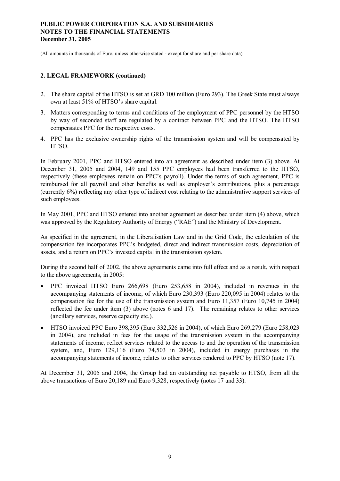(All amounts in thousands of Euro, unless otherwise stated - except for share and per share data)

### **2. LEGAL FRAMEWORK (continued)**

- 2. The share capital of the HTSO is set at GRD 100 million (Euro 293). The Greek State must always own at least 51% of HTSO's share capital.
- 3. Matters corresponding to terms and conditions of the employment of PPC personnel by the HTSO by way of seconded staff are regulated by a contract between PPC and the HTSO. The HTSO compensates PPC for the respective costs.
- 4. PPC has the exclusive ownership rights of the transmission system and will be compensated by HTSO.

In February 2001, PPC and HTSO entered into an agreement as described under item (3) above. At December 31, 2005 and 2004, 149 and 155 PPC employees had been transferred to the HTSO, respectively (these employees remain on PPC's payroll). Under the terms of such agreement, PPC is reimbursed for all payroll and other benefits as well as employer's contributions, plus a percentage (currently 6%) reflecting any other type of indirect cost relating to the administrative support services of such employees.

In May 2001, PPC and HTSO entered into another agreement as described under item (4) above, which was approved by the Regulatory Authority of Energy ("RAE") and the Ministry of Development.

As specified in the agreement, in the Liberalisation Law and in the Grid Code, the calculation of the compensation fee incorporates PPC's budgeted, direct and indirect transmission costs, depreciation of assets, and a return on PPC's invested capital in the transmission system.

During the second half of 2002, the above agreements came into full effect and as a result, with respect to the above agreements, in 2005:

- · PPC invoiced HTSO Euro 266,698 (Euro 253,658 in 2004), included in revenues in the accompanying statements of income, of which Euro 230,393 (Euro 220,095 in 2004) relates to the compensation fee for the use of the transmission system and Euro 11,357 (Euro 10,745 in 2004) reflected the fee under item (3) above (notes 6 and 17). The remaining relates to other services (ancillary services, reserve capacity etc.).
- · HTSO invoiced PPC Euro 398,395 (Euro 332,526 in 2004), of which Euro 269,279 (Euro 258,023 in 2004), are included in fees for the usage of the transmission system in the accompanying statements of income, reflect services related to the access to and the operation of the transmission system, and, Euro 129,116 (Euro 74,503 in 2004), included in energy purchases in the accompanying statements of income, relates to other services rendered to PPC by HTSO (note 17).

At December 31, 2005 and 2004, the Group had an outstanding net payable to HTSO, from all the above transactions of Euro 20,189 and Euro 9,328, respectively (notes 17 and 33).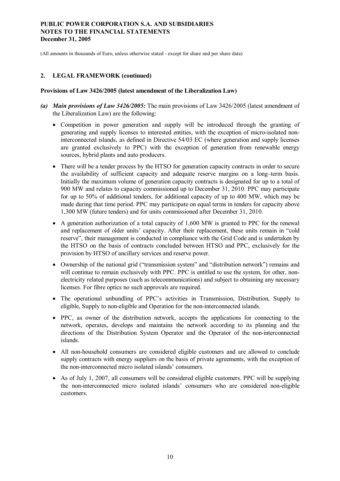(All amounts in thousands of Euro, unless otherwise stated - except for share and per share data)

#### **2. LEGAL FRAMEWORK (continued)**

#### **Provisions of Law 3426/2005 (latest amendment of the Liberalization Law)**

- *(a) Main provisions of Law 3426/2005:* The main provisions of Law 3426/2005 (latest amendment of the Liberalization Law) are the following:
	- · Competition in power generation and supply will be introduced through the granting of generating and supply licenses to interested entities, with the exception of micro-isolated noninterconnected islands, as defined in Directive 54/03 EC (where generation and supply licenses are granted exclusively to PPC) with the exception of generation from renewable energy sources, hybrid plants and auto producers.
	- There will be a tender process by the HTSO for generation capacity contracts in order to secure the availability of sufficient capacity and adequate reserve margins on a long–term basis. Initially the maximum volume of generation capacity contracts is designated for up to a total of 900 MW and relates to capacity commissioned up to December 31, 2010. PPC may participate for up to 50% of additional tenders, for additional capacity of up to 400 MW, which may be made during that time period. PPC may participate on equal terms in tenders for capacity above 1,300 MW (future tenders) and for units commissioned after December 31, 2010.
	- · A generation authorization of a total capacity of 1,600 MW is granted to PPC for the renewal and replacement of older units' capacity. After their replacement, these units remain in "cold reserve", their management is conducted in compliance with the Grid Code and is undertaken by the HTSO on the basis of contracts concluded between HTSO and PPC, exclusively for the provision by HTSO of ancillary services and reserve power.
	- · Ownership of the national grid ("transmission system" and "distribution network") remains and will continue to remain exclusively with PPC. PPC is entitled to use the system, for other, nonelectricity related purposes (such as telecommunications) and subject to obtaining any necessary licenses. For fibre optics no such approvals are required.
	- · The operational unbundling of PPC's activities in Transmission, Distribution, Supply to eligible, Supply to non-eligible and Operation for the non-interconnected islands.
	- · PPC, as owner of the distribution network, accepts the applications for connecting to the network, operates, develops and maintains the network according to its planning and the directions of the Distribution System Operator and the Operator of the non-interconnected islands.
	- · All non-household consumers are considered eligible customers and are allowed to conclude supply contracts with energy suppliers on the basis of private agreements, with the exception of the non-interconnected micro isolated islands' consumers.
	- As of July 1, 2007, all consumers will be considered eligible customers. PPC will be supplying the non-interconnected micro isolated islands' consumers who are considered non-eligible customers.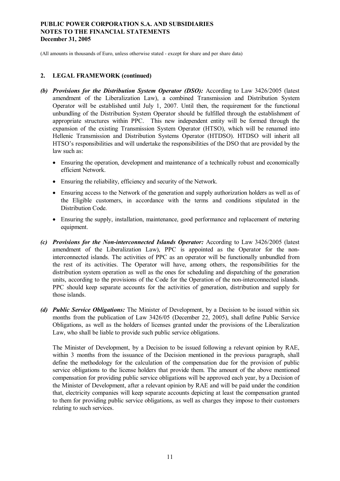(All amounts in thousands of Euro, unless otherwise stated - except for share and per share data)

#### **2. LEGAL FRAMEWORK (continued)**

- *(b) Provisions for the Distribution System Operator (DSO):* According to Law 3426/2005 (latest amendment of the Liberalization Law), a combined Transmission and Distribution System Operator will be established until July 1, 2007. Until then, the requirement for the functional unbundling of the Distribution System Operator should be fulfilled through the establishment of appropriate structures within PPC. This new independent entity will be formed through the expansion of the existing Transmission System Operator (HTSO), which will be renamed into Hellenic Transmission and Distribution Systems Operator (HTDSO). HTDSO will inherit all HTSO's responsibilities and will undertake the responsibilities of the DSO that are provided by the law such as:
	- Ensuring the operation, development and maintenance of a technically robust and economically efficient Network.
	- Ensuring the reliability, efficiency and security of the Network.
	- · Ensuring access to the Network of the generation and supply authorization holders as well as of the Eligible customers, in accordance with the terms and conditions stipulated in the Distribution Code.
	- Ensuring the supply, installation, maintenance, good performance and replacement of metering equipment.
- *(c) Provisions for the Non-interconnected Islands Operator:* According to Law 3426/2005 (latest amendment of the Liberalization Law), PPC is appointed as the Operator for the noninterconnected islands. The activities of PPC as an operator will be functionally unbundled from the rest of its activities. The Operator will have, among others, the responsibilities for the distribution system operation as well as the ones for scheduling and dispatching of the generation units, according to the provisions of the Code for the Operation of the non-interconnected islands. PPC should keep separate accounts for the activities of generation, distribution and supply for those islands.
- *(d) Public Service Obligations:* The Minister of Development, by a Decision to be issued within six months from the publication of Law 3426/05 (December 22, 2005), shall define Public Service Obligations, as well as the holders of licenses granted under the provisions of the Liberalization Law, who shall be liable to provide such public service obligations.

The Minister of Development, by a Decision to be issued following a relevant opinion by RAE, within 3 months from the issuance of the Decision mentioned in the previous paragraph, shall define the methodology for the calculation of the compensation due for the provision of public service obligations to the license holders that provide them. The amount of the above mentioned compensation for providing public service obligations will be approved each year, by a Decision of the Minister of Development, after a relevant opinion by RAE and will be paid under the condition that, electricity companies will keep separate accounts depicting at least the compensation granted to them for providing public service obligations, as well as charges they impose to their customers relating to such services.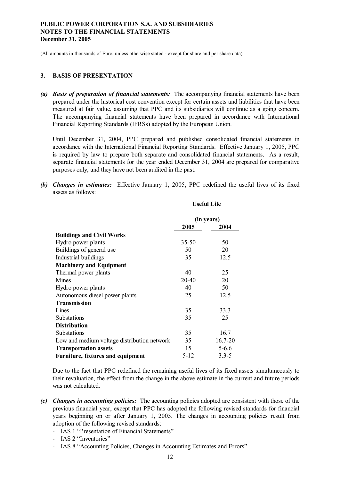(All amounts in thousands of Euro, unless otherwise stated - except for share and per share data)

#### **3. BASIS OF PRESENTATION**

*(a) Basis of preparation of financial statements:* The accompanying financial statements have been prepared under the historical cost convention except for certain assets and liabilities that have been measured at fair value, assuming that PPC and its subsidiaries will continue as a going concern. The accompanying financial statements have been prepared in accordance with International Financial Reporting Standards (IFRSs) adopted by the European Union.

Until December 31, 2004, PPC prepared and published consolidated financial statements in accordance with the International Financial Reporting Standards. Effective January 1, 2005, PPC is required by law to prepare both separate and consolidated financial statements. As a result, separate financial statements for the year ended December 31, 2004 are prepared for comparative purposes only, and they have not been audited in the past.

*(b) Changes in estimates:* Effective January 1, 2005, PPC redefined the useful lives of its fixed assets as follows:

|                                             | USUUL LIIU |             |  |
|---------------------------------------------|------------|-------------|--|
|                                             | (in years) |             |  |
|                                             | 2005       | 2004        |  |
| <b>Buildings and Civil Works</b>            |            |             |  |
| Hydro power plants                          | $35 - 50$  | 50          |  |
| Buildings of general use                    | 50         | 20          |  |
| Industrial buildings                        | 35         | 12.5        |  |
| <b>Machinery and Equipment</b>              |            |             |  |
| Thermal power plants                        | 40         | 25          |  |
| Mines                                       | 20-40      | 20          |  |
| Hydro power plants                          | 40         | 50          |  |
| Autonomous diesel power plants              | 25         | 12.5        |  |
| <b>Transmission</b>                         |            |             |  |
| Lines                                       | 35         | 33.3        |  |
| <b>Substations</b>                          | 35         | 25          |  |
| <b>Distribution</b>                         |            |             |  |
| Substations                                 | 35         | 16.7        |  |
| Low and medium voltage distribution network | 35         | $16.7 - 20$ |  |
| <b>Transportation assets</b>                | 15         | $5 - 6.6$   |  |
| <b>Furniture, fixtures and equipment</b>    | 5-12       | $3.3 - 5$   |  |

**Useful Life** 

Due to the fact that PPC redefined the remaining useful lives of its fixed assets simultaneously to their revaluation, the effect from the change in the above estimate in the current and future periods was not calculated.

- *(c) Changes in accounting policies:* The accounting policies adopted are consistent with those of the previous financial year, except that PPC has adopted the following revised standards for financial years beginning on or after January 1, 2005. The changes in accounting policies result from adoption of the following revised standards:
	- IAS 1 "Presentation of Financial Statements"
	- IAS 2 "Inventories"
	- IAS 8 "Accounting Policies, Changes in Accounting Estimates and Errors"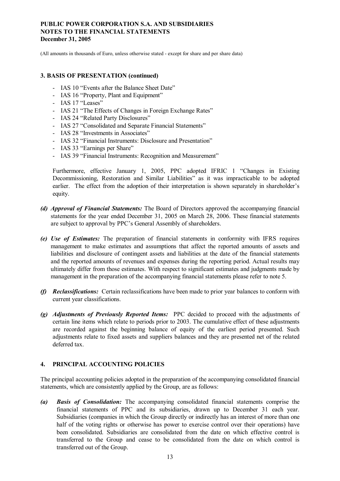(All amounts in thousands of Euro, unless otherwise stated - except for share and per share data)

#### **3. BASIS OF PRESENTATION (continued)**

- IAS 10 "Events after the Balance Sheet Date"
- IAS 16 "Property, Plant and Equipment"
- IAS 17 "Leases"
- IAS 21 "The Effects of Changes in Foreign Exchange Rates"
- IAS 24 "Related Party Disclosures"
- IAS 27 "Consolidated and Separate Financial Statements"
- IAS 28 "Investments in Associates"
- IAS 32 "Financial Instruments: Disclosure and Presentation"
- IAS 33 "Earnings per Share"
- IAS 39 "Financial Instruments: Recognition and Measurement"

Furthermore, effective January 1, 2005, PPC adopted IFRIC 1 "Changes in Existing Decommissioning, Restoration and Similar Liabilities" as it was impracticable to be adopted earlier. The effect from the adoption of their interpretation is shown separately in shareholder's equity.

- *(d) Approval of Financial Statements:* The Board of Directors approved the accompanying financial statements for the year ended December 31, 2005 on March 28, 2006. These financial statements are subject to approval by PPC's General Assembly of shareholders.
- *(e) Use of Estimates:* The preparation of financial statements in conformity with IFRS requires management to make estimates and assumptions that affect the reported amounts of assets and liabilities and disclosure of contingent assets and liabilities at the date of the financial statements and the reported amounts of revenues and expenses during the reporting period. Actual results may ultimately differ from those estimates. With respect to significant estimates and judgments made by management in the preparation of the accompanying financial statements please refer to note 5.
- *(f) Reclassifications:* Certain reclassifications have been made to prior year balances to conform with current year classifications.
- *(g) Adjustments of Previously Reported Items:* PPC decided to proceed with the adjustments of certain line items which relate to periods prior to 2003. The cumulative effect of these adjustments are recorded against the beginning balance of equity of the earliest period presented. Such adjustments relate to fixed assets and suppliers balances and they are presented net of the related deferred tax.

#### **4. PRINCIPAL ACCOUNTING POLICIES**

The principal accounting policies adopted in the preparation of the accompanying consolidated financial statements, which are consistently applied by the Group, are as follows:

*(a) Basis of Consolidation:* The accompanying consolidated financial statements comprise the financial statements of PPC and its subsidiaries, drawn up to December 31 each year. Subsidiaries (companies in which the Group directly or indirectly has an interest of more than one half of the voting rights or otherwise has power to exercise control over their operations) have been consolidated. Subsidiaries are consolidated from the date on which effective control is transferred to the Group and cease to be consolidated from the date on which control is transferred out of the Group.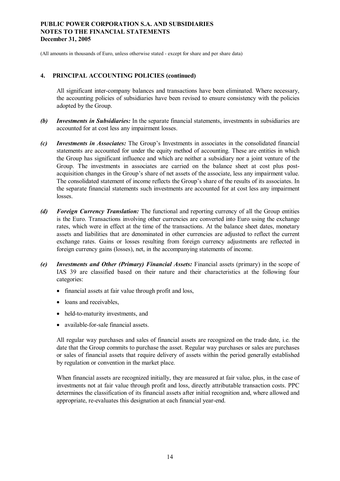(All amounts in thousands of Euro, unless otherwise stated - except for share and per share data)

#### **4. PRINCIPAL ACCOUNTING POLICIES (continued)**

All significant inter-company balances and transactions have been eliminated. Where necessary, the accounting policies of subsidiaries have been revised to ensure consistency with the policies adopted by the Group.

- *(b) Investments in Subsidiaries:* In the separate financial statements, investments in subsidiaries are accounted for at cost less any impairment losses.
- *(c) Investments in Associates:* The Group's Investments in associates in the consolidated financial statements are accounted for under the equity method of accounting. These are entities in which the Group has significant influence and which are neither a subsidiary nor a joint venture of the Group. The investments in associates are carried on the balance sheet at cost plus postacquisition changes in the Group's share of net assets of the associate, less any impairment value. The consolidated statement of income reflects the Group's share of the results of its associates. In the separate financial statements such investments are accounted for at cost less any impairment losses.
- *(d) Foreign Currency Translation:* The functional and reporting currency of all the Group entities is the Euro. Transactions involving other currencies are converted into Euro using the exchange rates, which were in effect at the time of the transactions. At the balance sheet dates, monetary assets and liabilities that are denominated in other currencies are adjusted to reflect the current exchange rates. Gains or losses resulting from foreign currency adjustments are reflected in foreign currency gains (losses), net, in the accompanying statements of income.
- *(e) Investments and Other (Primary) Financial Assets:* Financial assets (primary) in the scope of IAS 39 are classified based on their nature and their characteristics at the following four categories:
	- · financial assets at fair value through profit and loss,
	- loans and receivables,
	- held-to-maturity investments, and
	- · available-for-sale financial assets.

All regular way purchases and sales of financial assets are recognized on the trade date, i.e. the date that the Group commits to purchase the asset. Regular way purchases or sales are purchases or sales of financial assets that require delivery of assets within the period generally established by regulation or convention in the market place.

When financial assets are recognized initially, they are measured at fair value, plus, in the case of investments not at fair value through profit and loss, directly attributable transaction costs. PPC determines the classification of its financial assets after initial recognition and, where allowed and appropriate, re-evaluates this designation at each financial year-end.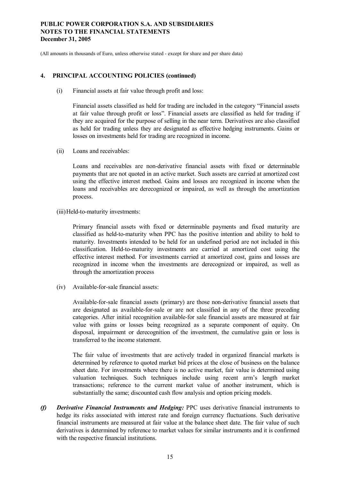(All amounts in thousands of Euro, unless otherwise stated - except for share and per share data)

### **4. PRINCIPAL ACCOUNTING POLICIES (continued)**

(i) Financial assets at fair value through profit and loss:

Financial assets classified as held for trading are included in the category "Financial assets at fair value through profit or loss". Financial assets are classified as held for trading if they are acquired for the purpose of selling in the near term. Derivatives are also classified as held for trading unless they are designated as effective hedging instruments. Gains or losses on investments held for trading are recognized in income.

(ii) Loans and receivables:

Loans and receivables are non-derivative financial assets with fixed or determinable payments that are not quoted in an active market. Such assets are carried at amortized cost using the effective interest method. Gains and losses are recognized in income when the loans and receivables are derecognized or impaired, as well as through the amortization process.

(iii)Held-to-maturity investments:

Primary financial assets with fixed or determinable payments and fixed maturity are classified as held-to-maturity when PPC has the positive intention and ability to hold to maturity. Investments intended to be held for an undefined period are not included in this classification. Held-to-maturity investments are carried at amortized cost using the effective interest method. For investments carried at amortized cost, gains and losses are recognized in income when the investments are derecognized or impaired, as well as through the amortization process

(iv) Available-for-sale financial assets:

Available-for-sale financial assets (primary) are those non-derivative financial assets that are designated as available-for-sale or are not classified in any of the three preceding categories. After initial recognition available-for sale financial assets are measured at fair value with gains or losses being recognized as a separate component of equity. On disposal, impairment or derecognition of the investment, the cumulative gain or loss is transferred to the income statement.

The fair value of investments that are actively traded in organized financial markets is determined by reference to quoted market bid prices at the close of business on the balance sheet date. For investments where there is no active market, fair value is determined using valuation techniques. Such techniques include using recent arm's length market transactions; reference to the current market value of another instrument, which is substantially the same; discounted cash flow analysis and option pricing models.

*(f) Derivative Financial Instruments and Hedging:* PPC uses derivative financial instruments to hedge its risks associated with interest rate and foreign currency fluctuations. Such derivative financial instruments are measured at fair value at the balance sheet date. The fair value of such derivatives is determined by reference to market values for similar instruments and it is confirmed with the respective financial institutions.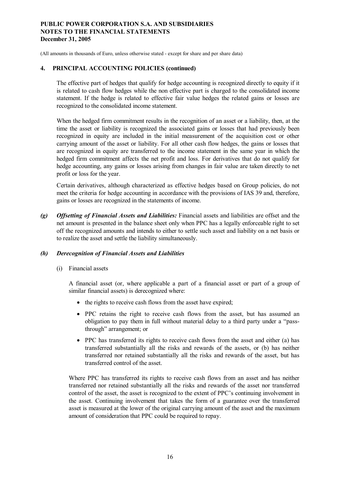(All amounts in thousands of Euro, unless otherwise stated - except for share and per share data)

#### **4. PRINCIPAL ACCOUNTING POLICIES (continued)**

The effective part of hedges that qualify for hedge accounting is recognized directly to equity if it is related to cash flow hedges while the non effective part is charged to the consolidated income statement. If the hedge is related to effective fair value hedges the related gains or losses are recognized to the consolidated income statement.

When the hedged firm commitment results in the recognition of an asset or a liability, then, at the time the asset or liability is recognized the associated gains or losses that had previously been recognized in equity are included in the initial measurement of the acquisition cost or other carrying amount of the asset or liability. For all other cash flow hedges, the gains or losses that are recognized in equity are transferred to the income statement in the same year in which the hedged firm commitment affects the net profit and loss. For derivatives that do not qualify for hedge accounting, any gains or losses arising from changes in fair value are taken directly to net profit or loss for the year.

Certain derivatives, although characterized as effective hedges based on Group policies, do not meet the criteria for hedge accounting in accordance with the provisions of IAS 39 and, therefore, gains or losses are recognized in the statements of income.

*(g) Offsetting of Financial Assets and Liabilities:* Financial assets and liabilities are offset and the net amount is presented in the balance sheet only when PPC has a legally enforceable right to set off the recognized amounts and intends to either to settle such asset and liability on a net basis or to realize the asset and settle the liability simultaneously.

#### *(h) Derecognition of Financial Assets and Liabilities*

(i) Financial assets

A financial asset (or, where applicable a part of a financial asset or part of a group of similar financial assets) is derecognized where:

- the rights to receive cash flows from the asset have expired;
- · PPC retains the right to receive cash flows from the asset, but has assumed an obligation to pay them in full without material delay to a third party under a "passthrough" arrangement; or
- PPC has transferred its rights to receive cash flows from the asset and either (a) has transferred substantially all the risks and rewards of the assets, or (b) has neither transferred nor retained substantially all the risks and rewards of the asset, but has transferred control of the asset.

Where PPC has transferred its rights to receive cash flows from an asset and has neither transferred nor retained substantially all the risks and rewards of the asset nor transferred control of the asset, the asset is recognized to the extent of PPC's continuing involvement in the asset. Continuing involvement that takes the form of a guarantee over the transferred asset is measured at the lower of the original carrying amount of the asset and the maximum amount of consideration that PPC could be required to repay.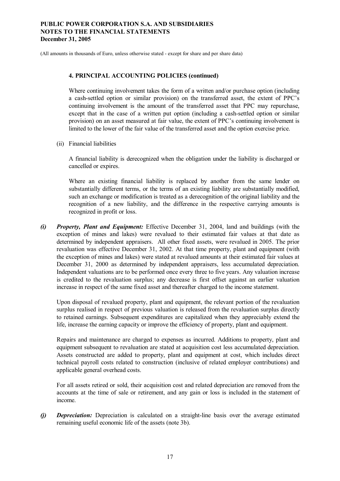(All amounts in thousands of Euro, unless otherwise stated - except for share and per share data)

#### **4. PRINCIPAL ACCOUNTING POLICIES (continued)**

Where continuing involvement takes the form of a written and/or purchase option (including a cash-settled option or similar provision) on the transferred asset, the extent of PPC's continuing involvement is the amount of the transferred asset that PPC may repurchase, except that in the case of a written put option (including a cash-settled option or similar provision) on an asset measured at fair value, the extent of PPC's continuing involvement is limited to the lower of the fair value of the transferred asset and the option exercise price.

(ii) Financial liabilities

A financial liability is derecognized when the obligation under the liability is discharged or cancelled or expires.

Where an existing financial liability is replaced by another from the same lender on substantially different terms, or the terms of an existing liability are substantially modified, such an exchange or modification is treated as a derecognition of the original liability and the recognition of a new liability, and the difference in the respective carrying amounts is recognized in profit or loss.

*(i) Property, Plant and Equipment:* Effective December 31, 2004, land and buildings (with the exception of mines and lakes) were revalued to their estimated fair values at that date as determined by independent appraisers. All other fixed assets, were revalued in 2005. The prior revaluation was effective December 31, 2002. At that time property, plant and equipment (with the exception of mines and lakes) were stated at revalued amounts at their estimated fair values at December 31, 2000 as determined by independent appraisers, less accumulated depreciation. Independent valuations are to be performed once every three to five years. Any valuation increase is credited to the revaluation surplus; any decrease is first offset against an earlier valuation increase in respect of the same fixed asset and thereafter charged to the income statement.

Upon disposal of revalued property, plant and equipment, the relevant portion of the revaluation surplus realised in respect of previous valuation is released from the revaluation surplus directly to retained earnings. Subsequent expenditures are capitalized when they appreciably extend the life, increase the earning capacity or improve the efficiency of property, plant and equipment.

Repairs and maintenance are charged to expenses as incurred. Additions to property, plant and equipment subsequent to revaluation are stated at acquisition cost less accumulated depreciation. Assets constructed are added to property, plant and equipment at cost, which includes direct technical payroll costs related to construction (inclusive of related employer contributions) and applicable general overhead costs.

For all assets retired or sold, their acquisition cost and related depreciation are removed from the accounts at the time of sale or retirement, and any gain or loss is included in the statement of income.

*(j) Depreciation:* Depreciation is calculated on a straight-line basis over the average estimated remaining useful economic life of the assets (note 3b).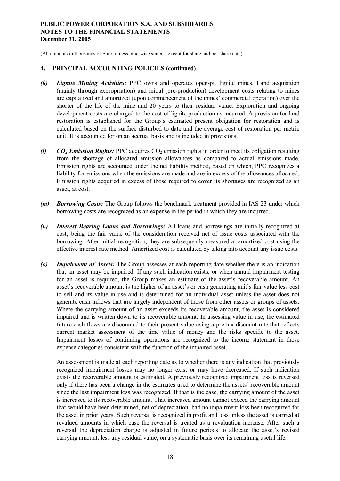(All amounts in thousands of Euro, unless otherwise stated - except for share and per share data)

#### **4. PRINCIPAL ACCOUNTING POLICIES (continued)**

- *(k) Lignite Mining Activities:* PPC owns and operates open-pit lignite mines. Land acquisition (mainly through expropriation) and initial (pre-production) development costs relating to mines are capitalized and amortized (upon commencement of the mines' commercial operation) over the shorter of the life of the mine and 20 years to their residual value. Exploration and ongoing development costs are charged to the cost of lignite production as incurred. A provision for land restoration is established for the Group's estimated present obligation for restoration and is calculated based on the surface disturbed to date and the average cost of restoration per metric unit. It is accounted for on an accrual basis and is included in provisions.
- *(l)*  $CO<sub>2</sub>$  *Emission Rights: PPC* acquires  $CO<sub>2</sub>$  emission rights in order to meet its obligation resulting from the shortage of allocated emission allowances as compared to actual emissions made. Emission rights are accounted under the net liability method, based on which, PPC recognizes a liability for emissions when the emissions are made and are in excess of the allowances allocated. Emission rights acquired in excess of those required to cover its shortages are recognized as an asset, at cost.
- *(m) Borrowing Costs:* The Group follows the benchmark treatment provided in IAS 23 under which borrowing costs are recognized as an expense in the period in which they are incurred.
- *(n) Interest Bearing Loans and Borrowings:* All loans and borrowings are initially recognized at cost, being the fair value of the consideration received net of issue costs associated with the borrowing. After initial recognition, they are subsequently measured at amortized cost using the effective interest rate method. Amortized cost is calculated by taking into account any issue costs.
- *(o) Impairment of Assets:* The Group assesses at each reporting date whether there is an indication that an asset may be impaired. If any such indication exists, or when annual impairment testing for an asset is required, the Group makes an estimate of the asset's recoverable amount. An asset's recoverable amount is the higher of an asset's or cash generating unit's fair value less cost to sell and its value in use and is determined for an individual asset unless the asset does not generate cash inflows that are largely independent of those from other assets or groups of assets. Where the carrying amount of an asset exceeds its recoverable amount, the asset is considered impaired and is written down to its recoverable amount. In assessing value in use, the estimated future cash flows are discounted to their present value using a pre-tax discount rate that reflects current market assessment of the time value of money and the risks specific to the asset. Impairment losses of continuing operations are recognized to the income statement in those expense categories consistent with the function of the impaired asset.

An assessment is made at each reporting date as to whether there is any indication that previously recognized impairment losses may no longer exist or may have decreased. If such indication exists the recoverable amount is estimated. A previously recognized impairment loss is reversed only if there has been a change in the estimates used to determine the assets' recoverable amount since the last impairment loss was recognized. If that is the case, the carrying amount of the asset is increased to its recoverable amount. That increased amount cannot exceed the carrying amount that would have been determined, net of depreciation, had no impairment loss been recognized for the asset in prior years. Such reversal is recognized in profit and loss unless the asset is carried at revalued amounts in which case the reversal is treated as a revaluation increase. After such a reversal the depreciation charge is adjusted in future periods to allocate the asset's revised carrying amount, less any residual value, on a systematic basis over its remaining useful life.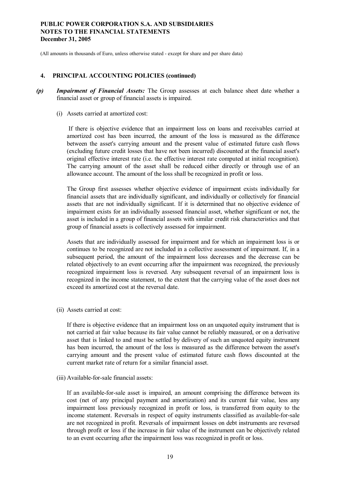(All amounts in thousands of Euro, unless otherwise stated - except for share and per share data)

#### **4. PRINCIPAL ACCOUNTING POLICIES (continued)**

- *(p) Impairment of Financial Assets:* The Group assesses at each balance sheet date whether a financial asset or group of financial assets is impaired.
	- (i) Assets carried at amortized cost:

If there is objective evidence that an impairment loss on loans and receivables carried at amortized cost has been incurred, the amount of the loss is measured as the difference between the asset's carrying amount and the present value of estimated future cash flows (excluding future credit losses that have not been incurred) discounted at the financial asset's original effective interest rate (i.e. the effective interest rate computed at initial recognition). The carrying amount of the asset shall be reduced either directly or through use of an allowance account. The amount of the loss shall be recognized in profit or loss.

The Group first assesses whether objective evidence of impairment exists individually for financial assets that are individually significant, and individually or collectively for financial assets that are not individually significant. If it is determined that no objective evidence of impairment exists for an individually assessed financial asset, whether significant or not, the asset is included in a group of financial assets with similar credit risk characteristics and that group of financial assets is collectively assessed for impairment.

Assets that are individually assessed for impairment and for which an impairment loss is or continues to be recognized are not included in a collective assessment of impairment. If, in a subsequent period, the amount of the impairment loss decreases and the decrease can be related objectively to an event occurring after the impairment was recognized, the previously recognized impairment loss is reversed. Any subsequent reversal of an impairment loss is recognized in the income statement, to the extent that the carrying value of the asset does not exceed its amortized cost at the reversal date.

(ii) Assets carried at cost:

If there is objective evidence that an impairment loss on an unquoted equity instrument that is not carried at fair value because its fair value cannot be reliably measured, or on a derivative asset that is linked to and must be settled by delivery of such an unquoted equity instrument has been incurred, the amount of the loss is measured as the difference between the asset's carrying amount and the present value of estimated future cash flows discounted at the current market rate of return for a similar financial asset.

(iii) Available-for-sale financial assets:

If an available-for-sale asset is impaired, an amount comprising the difference between its cost (net of any principal payment and amortization) and its current fair value, less any impairment loss previously recognized in profit or loss, is transferred from equity to the income statement. Reversals in respect of equity instruments classified as available-for-sale are not recognized in profit. Reversals of impairment losses on debt instruments are reversed through profit or loss if the increase in fair value of the instrument can be objectively related to an event occurring after the impairment loss was recognized in profit or loss.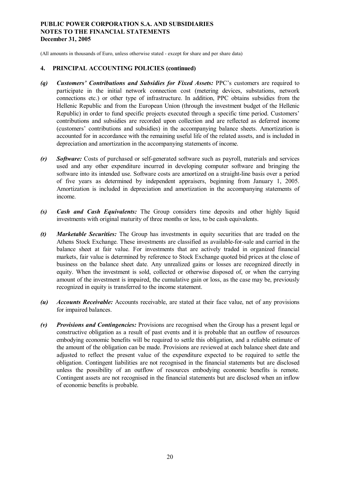(All amounts in thousands of Euro, unless otherwise stated - except for share and per share data)

- *(q) Customers' Contributions and Subsidies for Fixed Assets:* PPC's customers are required to participate in the initial network connection cost (metering devices, substations, network connections etc.) or other type of infrastructure. In addition, PPC obtains subsidies from the Hellenic Republic and from the European Union (through the investment budget of the Hellenic Republic) in order to fund specific projects executed through a specific time period. Customers' contributions and subsidies are recorded upon collection and are reflected as deferred income (customers' contributions and subsidies) in the accompanying balance sheets. Amortization is accounted for in accordance with the remaining useful life of the related assets, and is included in depreciation and amortization in the accompanying statements of income.
- *(r) Software:* Costs of purchased or self-generated software such as payroll, materials and services used and any other expenditure incurred in developing computer software and bringing the software into its intended use. Software costs are amortized on a straight-line basis over a period of five years as determined by independent appraisers, beginning from January 1, 2005. Amortization is included in depreciation and amortization in the accompanying statements of income.
- *(s) Cash and Cash Equivalents:* The Group considers time deposits and other highly liquid investments with original maturity of three months or less, to be cash equivalents.
- *(t) Marketable Securities:* The Group has investments in equity securities that are traded on the Athens Stock Exchange. These investments are classified as available-for-sale and carried in the balance sheet at fair value. For investments that are actively traded in organized financial markets, fair value is determined by reference to Stock Exchange quoted bid prices at the close of business on the balance sheet date. Any unrealized gains or losses are recognized directly in equity. When the investment is sold, collected or otherwise disposed of, or when the carrying amount of the investment is impaired, the cumulative gain or loss, as the case may be, previously recognized in equity is transferred to the income statement.
- *(u) Accounts Receivable:* Accounts receivable, are stated at their face value, net of any provisions for impaired balances.
- *(v) Provisions and Contingencies:* Provisions are recognised when the Group has a present legal or constructive obligation as a result of past events and it is probable that an outflow of resources embodying economic benefits will be required to settle this obligation, and a reliable estimate of the amount of the obligation can be made. Provisions are reviewed at each balance sheet date and adjusted to reflect the present value of the expenditure expected to be required to settle the obligation. Contingent liabilities are not recognised in the financial statements but are disclosed unless the possibility of an outflow of resources embodying economic benefits is remote. Contingent assets are not recognised in the financial statements but are disclosed when an inflow of economic benefits is probable.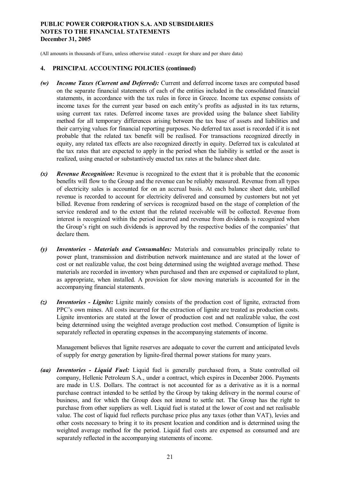(All amounts in thousands of Euro, unless otherwise stated - except for share and per share data)

### **4. PRINCIPAL ACCOUNTING POLICIES (continued)**

- *(w) Income Taxes (Current and Deferred):* Current and deferred income taxes are computed based on the separate financial statements of each of the entities included in the consolidated financial statements, in accordance with the tax rules in force in Greece. Income tax expense consists of income taxes for the current year based on each entity's profits as adjusted in its tax returns, using current tax rates. Deferred income taxes are provided using the balance sheet liability method for all temporary differences arising between the tax base of assets and liabilities and their carrying values for financial reporting purposes. No deferred tax asset is recorded if it is not probable that the related tax benefit will be realised. For transactions recognized directly in equity, any related tax effects are also recognized directly in equity. Deferred tax is calculated at the tax rates that are expected to apply in the period when the liability is settled or the asset is realized, using enacted or substantively enacted tax rates at the balance sheet date.
- *(x) Revenue Recognition:* Revenue is recognized to the extent that it is probable that the economic benefits will flow to the Group and the revenue can be reliably measured. Revenue from all types of electricity sales is accounted for on an accrual basis. At each balance sheet date, unbilled revenue is recorded to account for electricity delivered and consumed by customers but not yet billed. Revenue from rendering of services is recognized based on the stage of completion of the service rendered and to the extent that the related receivable will be collected. Revenue from interest is recognized within the period incurred and revenue from dividends is recognized when the Group's right on such dividends is approved by the respective bodies of the companies' that declare them.
- *(y) Inventories - Materials and Consumables:* Materials and consumables principally relate to power plant, transmission and distribution network maintenance and are stated at the lower of cost or net realizable value, the cost being determined using the weighted average method. These materials are recorded in inventory when purchased and then are expensed or capitalized to plant, as appropriate, when installed. A provision for slow moving materials is accounted for in the accompanying financial statements.
- *(z) Inventories - Lignite:* Lignite mainly consists of the production cost of lignite, extracted from PPC's own mines. All costs incurred for the extraction of lignite are treated as production costs. Lignite inventories are stated at the lower of production cost and net realizable value, the cost being determined using the weighted average production cost method. Consumption of lignite is separately reflected in operating expenses in the accompanying statements of income.

Management believes that lignite reserves are adequate to cover the current and anticipated levels of supply for energy generation by lignite-fired thermal power stations for many years.

*(aa) Inventories - Liquid Fuel:* Liquid fuel is generally purchased from, a State controlled oil company, Hellenic Petroleum S.A., under a contract, which expires in December 2006. Payments are made in U.S. Dollars. The contract is not accounted for as a derivative as it is a normal purchase contract intended to be settled by the Group by taking delivery in the normal course of business, and for which the Group does not intend to settle net. The Group has the right to purchase from other suppliers as well. Liquid fuel is stated at the lower of cost and net realisable value. The cost of liquid fuel reflects purchase price plus any taxes (other than VAT), levies and other costs necessary to bring it to its present location and condition and is determined using the weighted average method for the period. Liquid fuel costs are expensed as consumed and are separately reflected in the accompanying statements of income.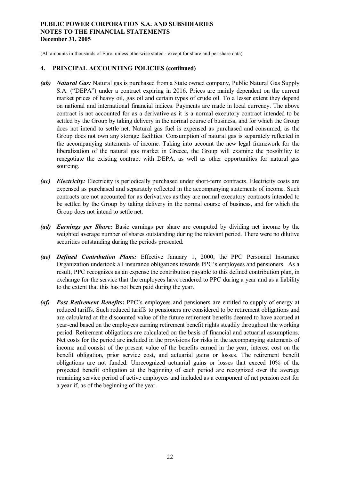(All amounts in thousands of Euro, unless otherwise stated - except for share and per share data)

- *(ab) Natural Gas:* Natural gas is purchased from a State owned company, Public Natural Gas Supply S.A. ("DEPA") under a contract expiring in 2016. Prices are mainly dependent on the current market prices of heavy oil, gas oil and certain types of crude oil. To a lesser extent they depend on national and international financial indices. Payments are made in local currency. The above contract is not accounted for as a derivative as it is a normal executory contract intended to be settled by the Group by taking delivery in the normal course of business, and for which the Group does not intend to settle net. Natural gas fuel is expensed as purchased and consumed, as the Group does not own any storage facilities. Consumption of natural gas is separately reflected in the accompanying statements of income. Taking into account the new legal framework for the liberalization of the natural gas market in Greece, the Group will examine the possibility to renegotiate the existing contract with DEPA, as well as other opportunities for natural gas sourcing.
- *(ac) Electricity:* Electricity is periodically purchased under short-term contracts. Electricity costs are expensed as purchased and separately reflected in the accompanying statements of income. Such contracts are not accounted for as derivatives as they are normal executory contracts intended to be settled by the Group by taking delivery in the normal course of business, and for which the Group does not intend to settle net.
- *(ad) Earnings per Share:* Basic earnings per share are computed by dividing net income by the weighted average number of shares outstanding during the relevant period. There were no dilutive securities outstanding during the periods presented.
- *(ae) Defined Contribution Plans:* Effective January 1, 2000, the PPC Personnel Insurance Organization undertook all insurance obligations towards PPC's employees and pensioners. As a result, PPC recognizes as an expense the contribution payable to this defined contribution plan, in exchange for the service that the employees have rendered to PPC during a year and as a liability to the extent that this has not been paid during the year.
- *(af) Post Retirement Benefits***:** PPC's employees and pensioners are entitled to supply of energy at reduced tariffs. Such reduced tariffs to pensioners are considered to be retirement obligations and are calculated at the discounted value of the future retirement benefits deemed to have accrued at year-end based on the employees earning retirement benefit rights steadily throughout the working period. Retirement obligations are calculated on the basis of financial and actuarial assumptions. Net costs for the period are included in the provisions for risks in the accompanying statements of income and consist of the present value of the benefits earned in the year, interest cost on the benefit obligation, prior service cost, and actuarial gains or losses. The retirement benefit obligations are not funded. Unrecognized actuarial gains or losses that exceed 10% of the projected benefit obligation at the beginning of each period are recognized over the average remaining service period of active employees and included as a component of net pension cost for a year if, as of the beginning of the year.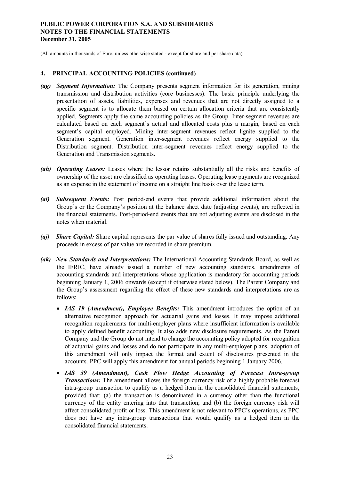(All amounts in thousands of Euro, unless otherwise stated - except for share and per share data)

- *(ag) Segment Information:* The Company presents segment information for its generation, mining transmission and distribution activities (core businesses). The basic principle underlying the presentation of assets, liabilities, expenses and revenues that are not directly assigned to a specific segment is to allocate them based on certain allocation criteria that are consistently applied. Segments apply the same accounting policies as the Group. Inter-segment revenues are calculated based on each segment's actual and allocated costs plus a margin, based on each segment's capital employed. Mining inter-segment revenues reflect lignite supplied to the Generation segment. Generation inter-segment revenues reflect energy supplied to the Distribution segment. Distribution inter-segment revenues reflect energy supplied to the Generation and Transmission segments.
- *(ah) Operating Leases:* Leases where the lessor retains substantially all the risks and benefits of ownership of the asset are classified as operating leases. Operating lease payments are recognized as an expense in the statement of income on a straight line basis over the lease term.
- *(ai) Subsequent Events:* Post period-end events that provide additional information about the Group's or the Company's position at the balance sheet date (adjusting events), are reflected in the financial statements. Post-period-end events that are not adjusting events are disclosed in the notes when material.
- *(aj) Share Capital:* Share capital represents the par value of shares fully issued and outstanding. Any proceeds in excess of par value are recorded in share premium.
- *(ak) New Standards and Interpretations:* The International Accounting Standards Board, as well as the IFRIC, have already issued a number of new accounting standards, amendments of accounting standards and interpretations whose application is mandatory for accounting periods beginning January 1, 2006 onwards (except if otherwise stated below). The Parent Company and the Group's assessment regarding the effect of these new standards and interpretations are as follows:
	- · *IAS 19 (Amendment), Employee Benefits:* This amendment introduces the option of an alternative recognition approach for actuarial gains and losses. It may impose additional recognition requirements for multi-employer plans where insufficient information is available to apply defined benefit accounting. It also adds new disclosure requirements. As the Parent Company and the Group do not intend to change the accounting policy adopted for recognition of actuarial gains and losses and do not participate in any multi-employer plans, adoption of this amendment will only impact the format and extent of disclosures presented in the accounts. PPC will apply this amendment for annual periods beginning 1 January 2006.
	- · *IAS 39 (Amendment), Cash Flow Hedge Accounting of Forecast Intra-group Transactions:* The amendment allows the foreign currency risk of a highly probable forecast intra-group transaction to qualify as a hedged item in the consolidated financial statements, provided that: (a) the transaction is denominated in a currency other than the functional currency of the entity entering into that transaction; and (b) the foreign currency risk will affect consolidated profit or loss. This amendment is not relevant to PPC's operations, as PPC does not have any intra-group transactions that would qualify as a hedged item in the consolidated financial statements.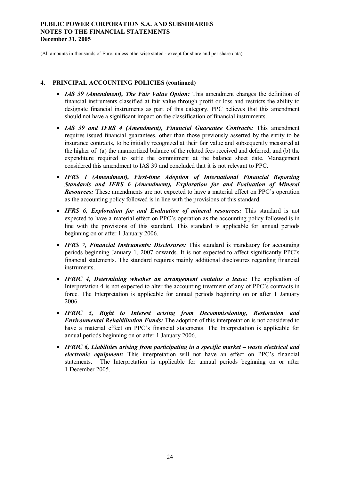(All amounts in thousands of Euro, unless otherwise stated - except for share and per share data)

- · *IAS 39 (Amendment), The Fair Value Option:* This amendment changes the definition of financial instruments classified at fair value through profit or loss and restricts the ability to designate financial instruments as part of this category. PPC believes that this amendment should not have a significant impact on the classification of financial instruments.
- · *IAS 39 and IFRS 4 (Amendment), Financial Guarantee Contracts:* This amendment requires issued financial guarantees, other than those previously asserted by the entity to be insurance contracts, to be initially recognized at their fair value and subsequently measured at the higher of: (a) the unamortized balance of the related fees received and deferred, and (b) the expenditure required to settle the commitment at the balance sheet date. Management considered this amendment to IAS 39 and concluded that it is not relevant to PPC.
- · *IFRS 1 (Amendment), First-time Adoption of International Financial Reporting Standards and IFRS 6 (Amendment), Exploration for and Evaluation of Mineral Resources:* These amendments are not expected to have a material effect on PPC's operation as the accounting policy followed is in line with the provisions of this standard.
- · *IFRS 6, Exploration for and Evaluation of mineral resources:* This standard is not expected to have a material effect on PPC's operation as the accounting policy followed is in line with the provisions of this standard. This standard is applicable for annual periods beginning on or after 1 January 2006.
- · *IFRS 7, Financial Instruments: Disclosures:* This standard is mandatory for accounting periods beginning January 1, 2007 onwards. It is not expected to affect significantly PPC's financial statements. The standard requires mainly additional disclosures regarding financial instruments.
- · *IFRIC 4, Determining whether an arrangement contains a lease:* The application of Interpretation 4 is not expected to alter the accounting treatment of any of PPC's contracts in force. The Interpretation is applicable for annual periods beginning on or after 1 January 2006.
- · *IFRIC 5, Right to Interest arising from Decommissioning, Restoration and Environmental Rehabilitation Funds:* The adoption of this interpretation is not considered to have a material effect on PPC's financial statements. The Interpretation is applicable for annual periods beginning on or after 1 January 2006.
- · *IFRIC 6, Liabilities arising from participating in a specific market – waste electrical and electronic equipment:* This interpretation will not have an effect on PPC's financial statements. The Interpretation is applicable for annual periods beginning on or after 1 December 2005.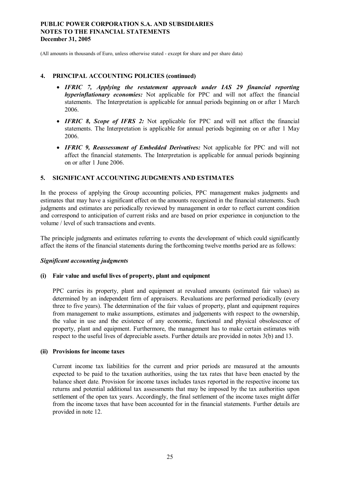(All amounts in thousands of Euro, unless otherwise stated - except for share and per share data)

#### **4. PRINCIPAL ACCOUNTING POLICIES (continued)**

- · *IFRIC 7, Applying the restatement approach under IAS 29 financial reporting hyperinflationary economies:* Not applicable for PPC and will not affect the financial statements. The Interpretation is applicable for annual periods beginning on or after 1 March 2006.
- · *IFRIC 8, Scope of IFRS 2:* Not applicable for PPC and will not affect the financial statements. The Interpretation is applicable for annual periods beginning on or after 1 May 2006.
- · *IFRIC 9, Reassessment of Embedded Derivatives:* Not applicable for PPC and will not affect the financial statements. The Interpretation is applicable for annual periods beginning on or after 1 June 2006.

### **5. SIGNIFICANT ACCOUNTING JUDGMENTS AND ESTIMATES**

In the process of applying the Group accounting policies, PPC management makes judgments and estimates that may have a significant effect on the amounts recognized in the financial statements. Such judgments and estimates are periodically reviewed by management in order to reflect current condition and correspond to anticipation of current risks and are based on prior experience in conjunction to the volume / level of such transactions and events.

The principle judgments and estimates referring to events the development of which could significantly affect the items of the financial statements during the forthcoming twelve months period are as follows:

#### *Significant accounting judgments*

#### **(i) Fair value and useful lives of property, plant and equipment**

PPC carries its property, plant and equipment at revalued amounts (estimated fair values) as determined by an independent firm of appraisers. Revaluations are performed periodically (every three to five years). The determination of the fair values of property, plant and equipment requires from management to make assumptions, estimates and judgements with respect to the ownership, the value in use and the existence of any economic, functional and physical obsolescence of property, plant and equipment. Furthermore, the management has to make certain estimates with respect to the useful lives of depreciable assets. Further details are provided in notes 3(b) and 13.

#### **(ii) Provisions for income taxes**

Current income tax liabilities for the current and prior periods are measured at the amounts expected to be paid to the taxation authorities, using the tax rates that have been enacted by the balance sheet date. Provision for income taxes includes taxes reported in the respective income tax returns and potential additional tax assessments that may be imposed by the tax authorities upon settlement of the open tax years. Accordingly, the final settlement of the income taxes might differ from the income taxes that have been accounted for in the financial statements. Further details are provided in note 12.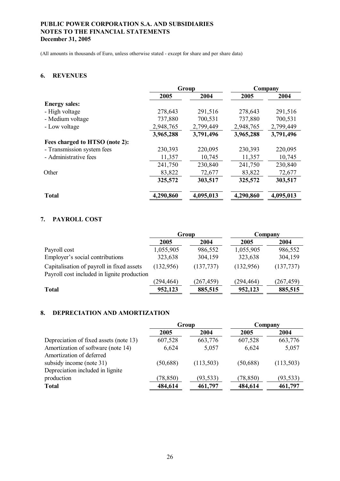(All amounts in thousands of Euro, unless otherwise stated - except for share and per share data)

### **6. REVENUES**

|                                |           | Group     | Company   |           |  |
|--------------------------------|-----------|-----------|-----------|-----------|--|
|                                | 2005      | 2004      | 2005      | 2004      |  |
| <b>Energy sales:</b>           |           |           |           |           |  |
| - High voltage                 | 278,643   | 291,516   | 278,643   | 291,516   |  |
| - Medium voltage               | 737,880   | 700,531   | 737,880   | 700,531   |  |
| - Low voltage                  | 2,948,765 | 2,799,449 | 2,948,765 | 2,799,449 |  |
|                                | 3,965,288 | 3,791,496 | 3,965,288 | 3,791,496 |  |
| Fees charged to HTSO (note 2): |           |           |           |           |  |
| - Transmission system fees     | 230,393   | 220,095   | 230,393   | 220,095   |  |
| - Administrative fees          | 11,357    | 10,745    | 11,357    | 10,745    |  |
|                                | 241,750   | 230,840   | 241,750   | 230,840   |  |
| Other                          | 83,822    | 72,677    | 83,822    | 72,677    |  |
|                                | 325,572   | 303,517   | 325,572   | 303,517   |  |
| <b>Total</b>                   | 4,290,860 | 4,095,013 | 4,290,860 | 4,095,013 |  |

### **7. PAYROLL COST**

|                                                                                          |            | Group      | Company    |            |  |
|------------------------------------------------------------------------------------------|------------|------------|------------|------------|--|
|                                                                                          | 2005       | 2004       | 2005       | 2004       |  |
| Payroll cost                                                                             | 1,055,905  | 986,552    | 1,055,905  | 986,552    |  |
| Employer's social contributions                                                          | 323,638    | 304,159    | 323,638    | 304,159    |  |
| Capitalisation of payroll in fixed assets<br>Payroll cost included in lignite production | (132, 956) | (137, 737) | (132,956)  | (137, 737) |  |
|                                                                                          | (294, 464) | (267, 459) | (294, 464) | (267, 459) |  |
| <b>Total</b>                                                                             | 952,123    | 885,515    | 952,123    | 885,515    |  |

### **8. DEPRECIATION AND AMORTIZATION**

|                                        |           | Group      | Company   |            |  |
|----------------------------------------|-----------|------------|-----------|------------|--|
|                                        | 2005      | 2004       | 2005      | 2004       |  |
| Depreciation of fixed assets (note 13) | 607,528   | 663,776    | 607,528   | 663,776    |  |
| Amortization of software (note 14)     | 6,624     | 5,057      | 6,624     | 5,057      |  |
| Amortization of deferred               |           |            |           |            |  |
| subsidy income (note 31)               | (50, 688) | (113, 503) | (50, 688) | (113, 503) |  |
| Depreciation included in lignite       |           |            |           |            |  |
| production                             | (78, 850) | (93, 533)  | (78, 850) | (93, 533)  |  |
| <b>Total</b>                           | 484,614   | 461,797    | 484,614   | 461,797    |  |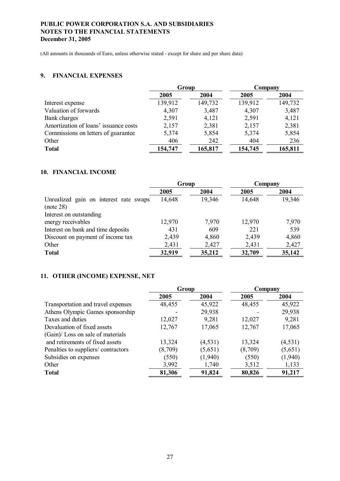(All amounts in thousands of Euro, unless otherwise stated - except for share and per share data)

### **9. FINANCIAL EXPENSES**

|                                       | Group   |         | Company |         |  |
|---------------------------------------|---------|---------|---------|---------|--|
|                                       | 2005    | 2004    | 2005    | 2004    |  |
| Interest expense                      | 139,912 | 149,732 | 139,912 | 149,732 |  |
| Valuation of forwards                 | 4,307   | 3,487   | 4,307   | 3,487   |  |
| Bank charges                          | 2,591   | 4,121   | 2,591   | 4,121   |  |
| Amortization of loans' issuance costs | 2,157   | 2,381   | 2,157   | 2,381   |  |
| Commissions on letters of guarantee   | 5,374   | 5,854   | 5,374   | 5,854   |  |
| Other                                 | 406     | 242     | 404     | 236     |  |
| <b>Total</b>                          | 154,747 | 165,817 | 154,745 | 165,811 |  |

### **10. FINANCIAL INCOME**

|                                        | Group  |        | Company |        |  |
|----------------------------------------|--------|--------|---------|--------|--|
|                                        | 2005   | 2004   | 2005    | 2004   |  |
| Unrealized gain on interest rate swaps | 14,648 | 19,346 | 14,648  | 19,346 |  |
| (note 28)                              |        |        |         |        |  |
| Interest on outstanding                |        |        |         |        |  |
| energy receivables                     | 12,970 | 7,970  | 12,970  | 7,970  |  |
| Interest on bank and time deposits     | 431    | 609    | 221     | 539    |  |
| Discount on payment of income tax      | 2,439  | 4,860  | 2,439   | 4,860  |  |
| Other                                  | 2,431  | 2,427  | 2,431   | 2,427  |  |
| <b>Total</b>                           | 32,919 | 35,212 | 32,709  | 35,142 |  |

### **11. OTHER (INCOME) EXPENSE, NET**

|                                    | Group   |         | Company |          |
|------------------------------------|---------|---------|---------|----------|
|                                    | 2005    | 2004    | 2005    | 2004     |
| Transportation and travel expenses | 48,455  | 45,922  | 48,455  | 45,922   |
| Athens Olympic Games sponsorship   |         | 29,938  |         | 29,938   |
| Taxes and duties                   | 12,027  | 9,281   | 12,027  | 9,281    |
| Devaluation of fixed assets        | 12,767  | 17,065  | 12,767  | 17,065   |
| (Gain)/Loss on sale of materials   |         |         |         |          |
| and retirements of fixed assets    | 13,324  | (4,531) | 13,324  | (4, 531) |
| Penalties to suppliers/contractors | (8,709) | (5,651) | (8,709) | (5,651)  |
| Subsidies on expenses              | (550)   | (1,940) | (550)   | (1,940)  |
| Other                              | 3,992   | 1,740   | 3,512   | 1,133    |
| <b>Total</b>                       | 81,306  | 91,824  | 80,826  | 91,217   |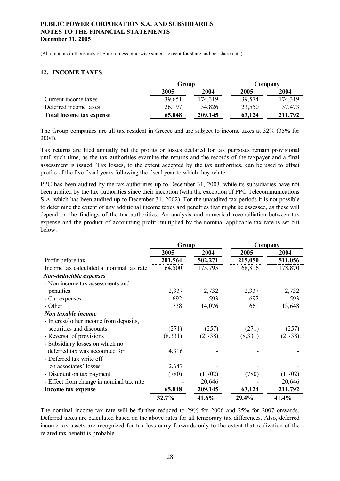(All amounts in thousands of Euro, unless otherwise stated - except for share and per share data)

### **12. INCOME TAXES**

|                          | Group  |         | Company |         |  |
|--------------------------|--------|---------|---------|---------|--|
|                          | 2005   | 2004    | 2005    | 2004    |  |
| Current income taxes     | 39,651 | 174.319 | 39,574  | 174,319 |  |
| Deferred income taxes    | 26,197 | 34,826  | 23,550  | 37,473  |  |
| Total income tax expense | 65,848 | 209,145 | 63,124  | 211,792 |  |

The Group companies are all tax resident in Greece and are subject to income taxes at 32% (35% for 2004).

Tax returns are filed annually but the profits or losses declared for tax purposes remain provisional until such time, as the tax authorities examine the returns and the records of the taxpayer and a final assessment is issued. Tax losses, to the extent accepted by the tax authorities, can be used to offset profits of the five fiscal years following the fiscal year to which they relate.

PPC has been audited by the tax authorities up to December 31, 2003, while its subsidiaries have not been audited by the tax authorities since their inception (with the exception of PPC Telecommunications S.A. which has been audited up to December 31, 2002). For the unaudited tax periods it is not possible to determine the extent of any additional income taxes and penalties that might be assessed, as these will depend on the findings of the tax authorities. An analysis and numerical reconciliation between tax expense and the product of accounting profit multiplied by the nominal applicable tax rate is set out below:

|                                           | Group   |         |         | Company |
|-------------------------------------------|---------|---------|---------|---------|
|                                           | 2005    | 2004    | 2005    | 2004    |
| Profit before tax                         | 201,564 | 502,271 | 215,050 | 511,056 |
| Income tax calculated at nominal tax rate | 64,500  | 175,795 | 68,816  | 178,870 |
| Non-deductible expenses                   |         |         |         |         |
| - Non income tax assessments and          |         |         |         |         |
| penalties                                 | 2,337   | 2,732   | 2,337   | 2,732   |
| - Car expenses                            | 692     | 593     | 692     | 593     |
| - Other                                   | 738     | 14,076  | 661     | 13,648  |
| Non taxable income                        |         |         |         |         |
| - Interest/ other income from deposits,   |         |         |         |         |
| securities and discounts                  | (271)   | (257)   | (271)   | (257)   |
| - Reversal of provisions                  | (8,331) | (2,738) | (8,331) | (2,738) |
| - Subsidiary losses on which no           |         |         |         |         |
| deferred tax was accounted for            | 4,316   |         |         |         |
| - Deferred tax write off                  |         |         |         |         |
| on associates' losses                     | 2,647   |         |         |         |
| - Discount on tax payment                 | (780)   | (1,702) | (780)   | (1,702) |
| - Effect from change in nominal tax rate  |         | 20,646  |         | 20,646  |
| Income tax expense                        | 65,848  | 209,145 | 63,124  | 211,792 |
|                                           | 32.7%   | 41.6%   | 29.4%   | 41.4%   |

The nominal income tax rate will be further reduced to 29% for 2006 and 25% for 2007 onwards. Deferred taxes are calculated based on the above rates for all temporary tax differences. Also, deferred income tax assets are recognized for tax loss carry forwards only to the extent that realization of the related tax benefit is probable.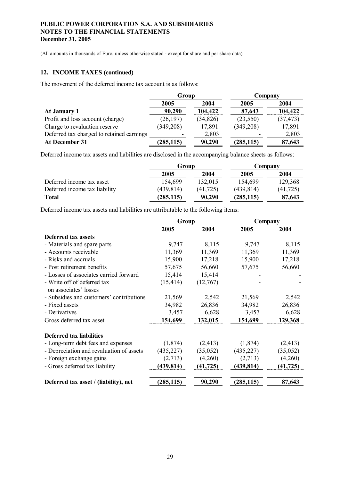(All amounts in thousands of Euro, unless otherwise stated - except for share and per share data)

### **12. INCOME TAXES (continued)**

The movement of the deferred income tax account is as follows:

|                                           | Group      |           | Company    |           |  |
|-------------------------------------------|------------|-----------|------------|-----------|--|
|                                           | 2005       | 2004      | 2005       | 2004      |  |
| At January 1                              | 90,290     | 104,422   | 87,643     | 104,422   |  |
| Profit and loss account (charge)          | (26, 197)  | (34, 826) | (23, 550)  | (37, 473) |  |
| Charge to revaluation reserve             | (349, 208) | 17,891    | (349, 208) | 17,891    |  |
| Deferred tax charged to retained earnings |            | 2,803     |            | 2,803     |  |
| At December 31                            | (285, 115) | 90,290    | (285, 115) | 87,643    |  |

Deferred income tax assets and liabilities are disclosed in the accompanying balance sheets as follows:

|                               | Group      |           | Company    |          |  |
|-------------------------------|------------|-----------|------------|----------|--|
|                               | 2005       | 2004      | 2005       | 2004     |  |
| Deferred income tax asset     | 154,699    | 132,015   | 154,699    | 129,368  |  |
| Deferred income tax liability | (439, 814) | (41, 725) | (439, 814) | (41.725) |  |
| Total                         | (285, 115) | 90,290    | (285, 115) | 87,643   |  |

Deferred income tax assets and liabilities are attributable to the following items:

|                                                      | Group      |           | Company    |           |
|------------------------------------------------------|------------|-----------|------------|-----------|
|                                                      | 2005       | 2004      | 2005       | 2004      |
| <b>Deferred tax assets</b>                           |            |           |            |           |
| - Materials and spare parts                          | 9,747      | 8,115     | 9,747      | 8,115     |
| - Accounts receivable                                | 11,369     | 11,369    | 11,369     | 11,369    |
| - Risks and accruals                                 | 15,900     | 17,218    | 15,900     | 17,218    |
| - Post retirement benefits                           | 57,675     | 56,660    | 57,675     | 56,660    |
| - Losses of associates carried forward               | 15,414     | 15,414    |            |           |
| - Write off of deferred tax<br>on associates' losses | (15, 414)  | (12,767)  |            |           |
| - Subsidies and customers' contributions             | 21,569     | 2,542     | 21,569     | 2,542     |
| - Fixed assets                                       | 34,982     | 26,836    | 34,982     | 26,836    |
| - Derivatives                                        | 3,457      | 6,628     | 3,457      | 6,628     |
| Gross deferred tax asset                             | 154,699    | 132,015   | 154,699    | 129,368   |
| <b>Deferred tax liabilities</b>                      |            |           |            |           |
| - Long-term debt fees and expenses                   | (1,874)    | (2, 413)  | (1,874)    | (2, 413)  |
| - Depreciation and revaluation of assets             | (435, 227) | (35,052)  | (435, 227) | (35, 052) |
| - Foreign exchange gains                             | (2,713)    | (4,260)   | (2,713)    | (4,260)   |
| - Gross deferred tax liability                       | (439, 814) | (41, 725) | (439, 814) | (41, 725) |
| Deferred tax asset / (liability), net                | (285, 115) | 90,290    | (285, 115) | 87,643    |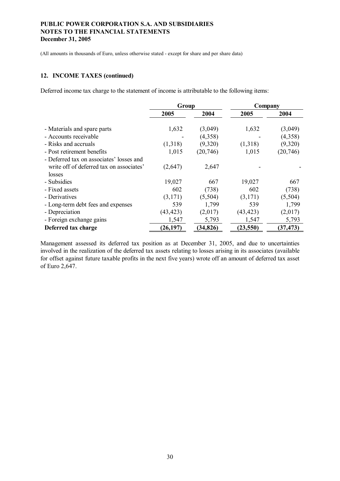(All amounts in thousands of Euro, unless otherwise stated - except for share and per share data)

#### **12. INCOME TAXES (continued)**

Deferred income tax charge to the statement of income is attributable to the following items:

|                                          | Group     |           | Company   |           |
|------------------------------------------|-----------|-----------|-----------|-----------|
|                                          | 2005      | 2004      | 2005      | 2004      |
|                                          |           |           |           |           |
| - Materials and spare parts              | 1,632     | (3,049)   | 1,632     | (3,049)   |
| - Accounts receivable                    |           | (4,358)   |           | (4,358)   |
| - Risks and accruals                     | (1,318)   | (9,320)   | (1,318)   | (9,320)   |
| - Post retirement benefits               | 1,015     | (20, 746) | 1,015     | (20, 746) |
| - Deferred tax on associates' losses and |           |           |           |           |
| write off of deferred tax on associates' | (2,647)   | 2,647     |           |           |
| losses                                   |           |           |           |           |
| - Subsidies                              | 19,027    | 667       | 19,027    | 667       |
| - Fixed assets                           | 602       | (738)     | 602       | (738)     |
| - Derivatives                            | (3,171)   | (5,504)   | (3,171)   | (5,504)   |
| - Long-term debt fees and expenses       | 539       | 1,799     | 539       | 1,799     |
| - Depreciation                           | (43, 423) | (2,017)   | (43, 423) | (2,017)   |
| - Foreign exchange gains                 | 1,547     | 5,793     | 1,547     | 5,793     |
| Deferred tax charge                      | (26, 197) | (34, 826) | (23, 550) | (37, 473) |

Management assessed its deferred tax position as at December 31, 2005, and due to uncertainties involved in the realization of the deferred tax assets relating to losses arising in its associates (available for offset against future taxable profits in the next five years) wrote off an amount of deferred tax asset of Euro 2,647.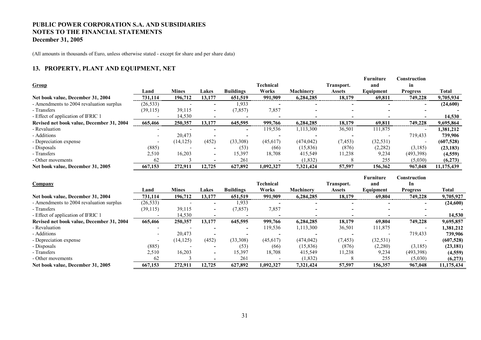(All amounts in thousands of Euro, unless otherwise stated - except for share and per share data)

### **13. PROPERTY, PLANT AND EQUIPMENT, NET**

| Group                                     | Land      | <b>Mines</b> | Lakes                    | <b>Buildings</b>         | <b>Technical</b><br>Works | Machinery                | Transport.<br><b>Assets</b> | Furniture<br>and<br>Equipment | Construction<br>in<br><b>Progress</b> | <b>Total</b>          |
|-------------------------------------------|-----------|--------------|--------------------------|--------------------------|---------------------------|--------------------------|-----------------------------|-------------------------------|---------------------------------------|-----------------------|
| Net book value, December 31, 2004         | 731,114   | 196,712      | 13,177                   | 651,519                  | 991,909                   | 6,284,285                | 18,179                      | 69,811                        | 749,228                               | 9,705,934             |
| - Amendments to 2004 revaluation surplus  | (26, 533) |              |                          | 1,933                    |                           |                          |                             |                               |                                       | (24,600)              |
| - Transfers                               | (39, 115) | 39,115       |                          | (7, 857)                 | 7,857                     |                          |                             |                               |                                       |                       |
| - Effect of application of IFRIC 1        |           | 14,530       | $\overline{\phantom{a}}$ | $\overline{\phantom{a}}$ |                           |                          | $\overline{\phantom{0}}$    |                               |                                       | 14,530                |
| Revised net book value, December 31, 2004 | 665,466   | 250,357      | 13,177                   | 645,595                  | 999,766                   | 6,284,285                | 18,179                      | 69.811                        | 749,228                               | 9,695,864             |
| - Revaluation                             |           |              |                          |                          | 119,536                   | 1,113,300                | 36,501                      | 111,875                       |                                       | 1,381,212             |
| - Additions                               |           | 20,473       |                          |                          |                           |                          |                             |                               | 719,433                               | 739,906               |
| - Depreciation expense                    |           | (14, 125)    | (452)                    | (33,308)                 | (45, 617)                 | (474, 042)               | (7, 453)                    | (32, 531)                     |                                       | (607, 528)            |
| - Disposals                               | (885)     |              |                          | (53)                     | (66)                      | (15, 836)                | (876)                       | (2, 282)                      | (3,185)                               | (23, 183)             |
| - Transfers                               | 2,510     | 16,203       |                          | 15,397                   | 18,708                    | 415,549                  | 11,238                      | 9,234                         | (493,398)                             | (4, 559)              |
| - Other movements                         | 62        |              |                          | 261                      |                           | (1, 832)                 | 8                           | 255                           | (5,030)                               | (6,273)               |
| Net book value, December 31, 2005         | 667,153   | 272,911      | 12,725                   | 627,892                  | 1,092,327                 | 7,321,424                | 57,597                      | 156,362                       | 967,048                               | 11,175,439            |
|                                           |           |              |                          |                          |                           |                          |                             |                               |                                       |                       |
|                                           |           |              |                          |                          |                           |                          |                             | Furniture                     | Construction                          |                       |
| Company                                   |           |              |                          |                          | <b>Technical</b>          |                          | Transport.                  | and                           | In                                    |                       |
|                                           | Land      | <b>Mines</b> | Lakes                    | <b>Buildings</b>         | Works                     | Machinery                | <b>Assets</b>               | Equipment                     | <b>Progress</b>                       | <b>Total</b>          |
| Net book value, December 31, 2004         | 731,114   | 196,712      | 13,177                   | 651,519                  | 991,909                   | 6,284,285                | 18,179                      | 69,804                        | 749,228                               | 9,705,927             |
| - Amendments to 2004 revaluation surplus  | (26, 533) |              |                          | 1,933                    |                           |                          |                             |                               |                                       | (24, 600)             |
| - Transfers                               | (39, 115) | 39,115       |                          | (7, 857)                 | 7,857                     |                          |                             |                               |                                       |                       |
| - Effect of application of IFRIC 1        |           | 14,530       | $\overline{\phantom{a}}$ | $\overline{\phantom{a}}$ |                           | $\overline{\phantom{a}}$ |                             |                               |                                       | 14,530                |
| Revised net book value, December 31, 2004 | 665,466   | 250,357      | 13,177                   | 645,595                  | 999,766                   | 6,284,285                | 18,179                      | 69,804                        | 749,228                               | 9,695,857             |
| - Revaluation                             |           |              |                          |                          | 119,536                   | 1,113,300                | 36,501                      | 111,875                       |                                       | 1,381,212             |
| - Additions                               |           | 20,473       |                          |                          |                           |                          | $\blacksquare$              |                               | 719,433                               | 739,906               |
| - Depreciation expense                    |           | (14, 125)    | (452)                    | (33,308)                 | (45, 617)                 | (474, 042)               | (7, 453)                    | (32, 531)                     |                                       | (607, 528)            |
| - Disposals                               | (885)     |              |                          | (53)                     | (66)                      | (15, 836)                | (876)                       | (2,280)                       | (3,185)                               | (23, 181)             |
| - Transfers                               | 2,510     | 16,203       |                          | 15,397                   | 18,708                    | 415,549                  | 11,238                      | 9,234                         | (493,398)                             | (4, 559)              |
| - Other movements                         | 62        | 272,911      |                          | 261<br>627,892           |                           | (1, 832)                 |                             | 255                           | (5,030)                               | (6,273)<br>11,175,434 |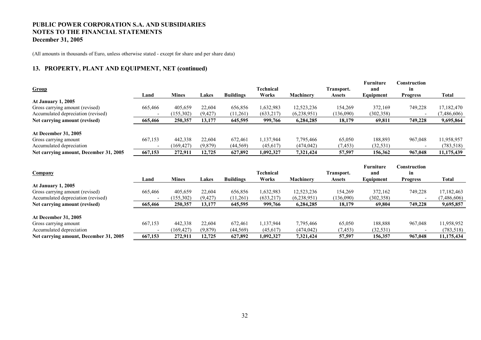(All amounts in thousands of Euro, unless otherwise stated - except for share and per share data)

### **13. PROPERTY, PLANT AND EQUIPMENT, NET (continued)**

|                                                   |         |                       |                    |                      | Technical              |                         |                             | Furniture            | Construction          |                          |
|---------------------------------------------------|---------|-----------------------|--------------------|----------------------|------------------------|-------------------------|-----------------------------|----------------------|-----------------------|--------------------------|
| Group                                             | Land    | <b>Mines</b>          | Lakes              | <b>Buildings</b>     | Works                  | <b>Machinery</b>        | Transport.<br><b>Assets</b> | and<br>Equipment     | in<br><b>Progress</b> | <b>Total</b>             |
| <b>At January 1, 2005</b>                         |         |                       |                    |                      |                        |                         |                             |                      |                       |                          |
| Gross carrying amount (revised)                   | 665,466 | 405,659               | 22,604             | 656,856              | 1,632,983              | 12,523,236              | 154,269                     | 372,169              | 749,228               | 17,182,470               |
| Accumulated depreciation (revised)                |         | (155,302)             | (9, 427)           | (11,261)             | (633, 217)             | (6,238,951)             | (136,090)                   | (302, 358)           |                       | (7,486,606)              |
| Net carrying amount (revised)                     | 665,466 | 250,357               | 13,177             | 645,595              | 999,766                | 6,284,285               | 18,179                      | 69,811               | 749,228               | 9,695,864                |
|                                                   |         |                       |                    |                      |                        |                         |                             |                      |                       |                          |
| <b>At December 31, 2005</b>                       |         |                       |                    |                      |                        |                         |                             |                      |                       |                          |
| Gross carrying amount                             | 667,153 | 442,338               | 22,604             | 672,461              | 1,137,944              | 7,795,466               | 65,050                      | 188,893              | 967,048               | 11,958,957               |
| Accumulated depreciation                          |         | (169, 427)            | (9,879)            | (44, 569)            | (45, 617)              | (474, 042)              | (7, 453)                    | (32, 531)            |                       | (783, 518)               |
| Net carrying amount, December 31, 2005            | 667,153 | 272,911               | 12,725             | 627,892              | 1,092,327              | 7,321,424               | 57,597                      | 156,362              | 967,048               | 11,175,439               |
|                                                   |         |                       |                    |                      |                        |                         |                             |                      |                       |                          |
|                                                   |         |                       |                    |                      |                        |                         |                             |                      |                       |                          |
|                                                   |         |                       |                    |                      |                        |                         |                             | <b>Furniture</b>     | Construction          |                          |
| <b>Company</b>                                    |         |                       |                    |                      | <b>Technical</b>       |                         | <b>Transport.</b>           | and                  | in                    |                          |
|                                                   | Land    | <b>Mines</b>          | Lakes              | <b>Buildings</b>     | Works                  | Machinery               | <b>Assets</b>               | Equipment            | <b>Progress</b>       | Total                    |
| <b>At January 1, 2005</b>                         |         |                       |                    |                      |                        |                         |                             |                      |                       |                          |
| Gross carrying amount (revised)                   | 665,466 | 405,659               | 22,604             | 656,856              | 1,632,983              | 12,523,236              | 154,269                     | 372,162              | 749,228               | 17,182,463               |
| Accumulated depreciation (revised)                |         | (155,302)             | (9, 427)           | (11,261)             | (633, 217)             | (6,238,951)             | (136,090)                   | (302, 358)           |                       | (7, 486, 606)            |
| Net carrying amount (revised)                     | 665,466 | 250,357               | 13,177             | 645,595              | 999,766                | 6,284,285               | 18,179                      | 69,804               | 749,228               | 9,695,857                |
|                                                   |         |                       |                    |                      |                        |                         |                             |                      |                       |                          |
| <b>At December 31, 2005</b>                       |         |                       |                    |                      |                        |                         |                             |                      |                       |                          |
| Gross carrying amount<br>Accumulated depreciation | 667,153 | 442,338<br>(169, 427) | 22,604<br>(9, 879) | 672,461<br>(44, 569) | 1,137,944<br>(45, 617) | 7,795,466<br>(474, 042) | 65,050<br>(7, 453)          | 188,888<br>(32, 531) | 967,048               | 11,958,952<br>(783, 518) |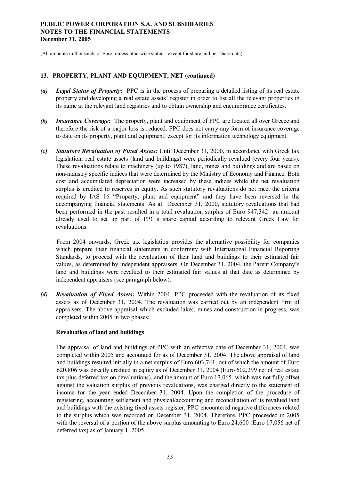(All amounts in thousands of Euro, unless otherwise stated - except for share and per share data)

#### **13. PROPERTY, PLANT AND EQUIPMENT, NET (continued)**

- *(a) Legal Status of Property:* PPC is in the process of preparing a detailed listing of its real estate property and developing a real estate assets' register in order to list all the relevant properties in its name at the relevant land registries and to obtain ownership and encumbrance certificates.
- *(b) Insurance Coverage:* The property, plant and equipment of PPC are located all over Greece and therefore the risk of a major loss is reduced. PPC does not carry any form of insurance coverage to date on its property, plant and equipment, except for its information technology equipment.
- *(c) Statutory Revaluation of Fixed Assets:* Until December 31, 2000, in accordance with Greek tax legislation, real estate assets (land and buildings) were periodically revalued (every four years). These revaluations relate to machinery (up to 1987), land, mines and buildings and are based on non-industry specific indices that were determined by the Ministry of Economy and Finance. Both cost and accumulated depreciation were increased by these indices while the net revaluation surplus is credited to reserves in equity. As such statutory revaluations do not meet the criteria required by IAS 16 "Property, plant and equipment" and they have been reversed in the accompanying financial statements. As at December 31, 2000, statutory revaluations that had been performed in the past resulted in a total revaluation surplus of Euro 947,342 an amount already used to set up part of PPC's share capital according to relevant Greek Law for revaluations.

From 2004 onwards, Greek tax legislation provides the alternative possibility for companies which prepare their financial statements in conformity with International Financial Reporting Standards, to proceed with the revaluation of their land and buildings to their estimated fair values, as determined by independent appraisers. On December 31, 2004, the Parent Company's land and buildings were revalued to their estimated fair values at that date as determined by independent appraisers (see paragraph below).

*(d) Revaluation of Fixed Assets:* Within 2004, PPC proceeded with the revaluation of its fixed assets as of December 31, 2004. The revaluation was carried out by an independent firm of appraisers. The above appraisal which excluded lakes, mines and construction in progress, was completed within 2005 in two phases:

### **Revaluation of land and buildings**

The appraisal of land and buildings of PPC with an effective date of December 31, 2004, was completed within 2005 and accounted for as of December 31, 2004. The above appraisal of land and buildings resulted initially in a net surplus of Euro 603,741, out of which the amount of Euro 620,806 was directly credited in equity as of December 31, 2004 (Euro 602,299 net of real estate tax plus deferred tax on devaluations), and the amount of Euro 17,065, which was not fully offset against the valuation surplus of previous revaluations, was charged directly to the statement of income for the year ended December 31, 2004. Upon the completion of the procedure of registering, accounting settlement and physical/accounting and reconciliation of its revalued land and buildings with the existing fixed assets register, PPC encountered negative differences related to the surplus which was recorded on December 31, 2004. Therefore, PPC proceeded in 2005 with the reversal of a portion of the above surplus amounting to Euro 24,600 (Euro 17,056 net of deferred tax) as of January 1, 2005.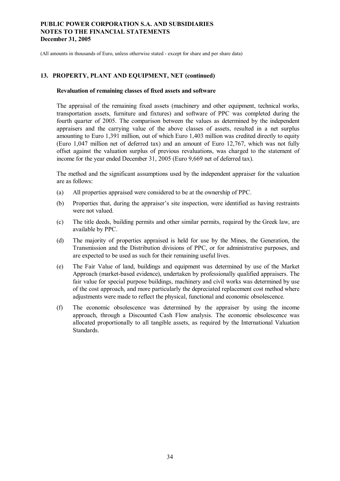(All amounts in thousands of Euro, unless otherwise stated - except for share and per share data)

#### **13. PROPERTY, PLANT AND EQUIPMENT, NET (continued)**

#### **Revaluation of remaining classes of fixed assets and software**

The appraisal of the remaining fixed assets (machinery and other equipment, technical works, transportation assets, furniture and fixtures) and software of PPC was completed during the fourth quarter of 2005. The comparison between the values as determined by the independent appraisers and the carrying value of the above classes of assets, resulted in a net surplus amounting to Euro 1,391 million, out of which Euro 1,403 million was credited directly to equity (Euro 1,047 million net of deferred tax) and an amount of Euro 12,767, which was not fully offset against the valuation surplus of previous revaluations, was charged to the statement of income for the year ended December 31, 2005 (Euro 9,669 net of deferred tax).

The method and the significant assumptions used by the independent appraiser for the valuation are as follows:

- (a) All properties appraised were considered to be at the ownership of PPC.
- (b) Properties that, during the appraiser's site inspection, were identified as having restraints were not valued.
- (c) The title deeds, building permits and other similar permits, required by the Greek law, are available by PPC.
- (d) The majority of properties appraised is held for use by the Mines, the Generation, the Transmission and the Distribution divisions of PPC, or for administrative purposes, and are expected to be used as such for their remaining useful lives.
- (e) The Fair Value of land, buildings and equipment was determined by use of the Market Approach (market-based evidence), undertaken by professionally qualified appraisers. The fair value for special purpose buildings, machinery and civil works was determined by use of the cost approach, and more particularly the depreciated replacement cost method where adjustments were made to reflect the physical, functional and economic obsolescence.
- (f) The economic obsolescence was determined by the appraiser by using the income approach, through a Discounted Cash Flow analysis. The economic obsolescence was allocated proportionally to all tangible assets, as required by the International Valuation Standards.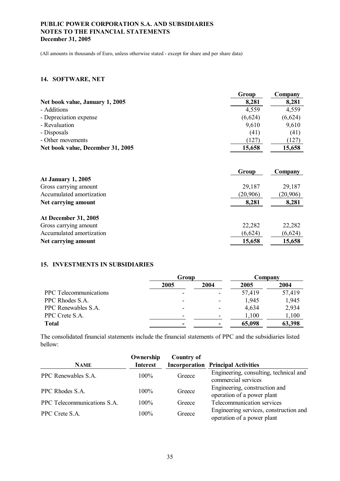(All amounts in thousands of Euro, unless otherwise stated - except for share and per share data)

### **14. SOFTWARE, NET**

|                                   | Group   | Company |
|-----------------------------------|---------|---------|
| Net book value, January 1, 2005   | 8,281   | 8,281   |
| - Additions                       | 4,559   | 4,559   |
| - Depreciation expense            | (6,624) | (6,624) |
| - Revaluation                     | 9,610   | 9,610   |
| - Disposals                       | (41)    | (41)    |
| - Other movements                 | (127    | (127)   |
| Net book value, December 31, 2005 | 15,658  | 15,658  |

|                             | Group    | Company  |
|-----------------------------|----------|----------|
| <b>At January 1, 2005</b>   |          |          |
| Gross carrying amount       | 29,187   | 29,187   |
| Accumulated amortization    | (20,906) | (20,906) |
| Net carrying amount         | 8,281    | 8,281    |
| <b>At December 31, 2005</b> |          |          |
| Gross carrying amount       | 22,282   | 22,282   |
| Accumulated amortization    | (6,624)  | (6,624)  |
| Net carrying amount         | 15,658   | 15,658   |

#### **15. INVESTMENTS IN SUBSIDIARIES**

|                               | Group |                          | Company |        |  |
|-------------------------------|-------|--------------------------|---------|--------|--|
|                               | 2005  | 2004                     | 2005    | 2004   |  |
| <b>PPC</b> Telecommunications | -     | $\overline{\phantom{a}}$ | 57,419  | 57,419 |  |
| PPC Rhodes S.A.               |       | $\overline{\phantom{a}}$ | 1,945   | 1,945  |  |
| PPC Renewables S.A.           | -     | $\overline{\phantom{0}}$ | 4,634   | 2,934  |  |
| PPC Crete S.A.                |       | $\overline{\phantom{0}}$ | 1,100   | 1,100  |  |
| <b>Total</b>                  |       | $\blacksquare$           | 65,098  | 63,398 |  |

The consolidated financial statements include the financial statements of PPC and the subsidiaries listed bellow:

| <b>NAME</b>                 | Ownership<br><b>Interest</b> | <b>Country of</b> | <b>Incorporation Principal Activities</b>                            |
|-----------------------------|------------------------------|-------------------|----------------------------------------------------------------------|
| PPC Renewables S.A.         | $100\%$                      | Greece            | Engineering, consulting, technical and<br>commercial services        |
| PPC Rhodes S.A.             | $100\%$                      | Greece            | Engineering, construction and<br>operation of a power plant          |
| PPC Telecommunications S.A. | $100\%$                      | Greece            | Telecommunication services                                           |
| PPC Crete S.A.              | 100%                         | Greece            | Engineering services, construction and<br>operation of a power plant |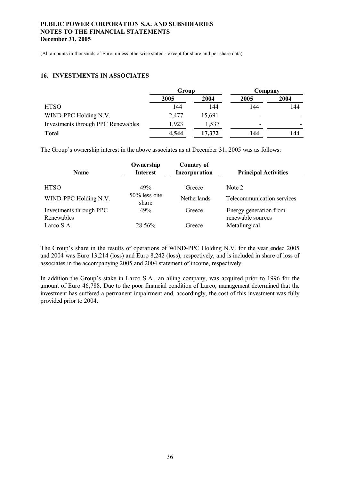(All amounts in thousands of Euro, unless otherwise stated - except for share and per share data)

#### **16. INVESTMENTS IN ASSOCIATES**

|                                    | Group |        | Company |      |
|------------------------------------|-------|--------|---------|------|
|                                    | 2005  | 2004   | 2005    | 2004 |
| <b>HTSO</b>                        | 144   | 144    | 144     | 144  |
| WIND-PPC Holding N.V.              | 2,477 | 15,691 | -       |      |
| Investments through PPC Renewables | .923  | 1,537  | -       |      |
| <b>Total</b>                       | 4,544 | 17,372 | 144     | 144  |

The Group's ownership interest in the above associates as at December 31, 2005 was as follows:

| <b>Name</b>                           | Ownership<br><b>Interest</b> | <b>Country of</b><br>Incorporation | <b>Principal Activities</b>                 |
|---------------------------------------|------------------------------|------------------------------------|---------------------------------------------|
| <b>HTSO</b>                           | 49%                          | Greece                             | Note 2                                      |
| WIND-PPC Holding N.V.                 | $50\%$ less one<br>share     | <b>Netherlands</b>                 | Telecommunication services                  |
| Investments through PPC<br>Renewables | 49%                          | Greece                             | Energy generation from<br>renewable sources |
| Larco S.A.                            | 28.56%                       | Greece                             | Metallurgical                               |

The Group's share in the results of operations of WIND-PPC Holding N.V. for the year ended 2005 and 2004 was Euro 13,214 (loss) and Euro 8,242 (loss), respectively, and is included in share of loss of associates in the accompanying 2005 and 2004 statement of income, respectively.

In addition the Group's stake in Larco S.A., an ailing company, was acquired prior to 1996 for the amount of Euro 46,788. Due to the poor financial condition of Larco, management determined that the investment has suffered a permanent impairment and, accordingly, the cost of this investment was fully provided prior to 2004.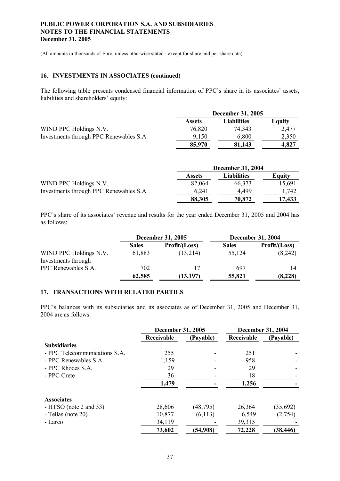(All amounts in thousands of Euro, unless otherwise stated - except for share and per share data)

#### **16. INVESTMENTS IN ASSOCIATES (continued)**

The following table presents condensed financial information of PPC's share in its associates' assets, liabilities and shareholders' equity:

|                                         | December 31, 2005 |             |        |  |
|-----------------------------------------|-------------------|-------------|--------|--|
|                                         | <b>Assets</b>     | Liabilities | Equity |  |
| WIND PPC Holdings N.V.                  | 76,820            | 74,343      | 2,477  |  |
| Investments through PPC Renewables S.A. | 9.150             | 6,800       | 2,350  |  |
|                                         | 85,970            | 81,143      | 4.827  |  |

|                                         | <b>December 31, 2004</b> |                    |        |  |
|-----------------------------------------|--------------------------|--------------------|--------|--|
|                                         | <b>Assets</b>            | <b>Liabilities</b> | Equity |  |
| WIND PPC Holdings N.V.                  | 82,064                   | 66,373             | 15,691 |  |
| Investments through PPC Renewables S.A. | 6,241                    | 4,499              | .742   |  |
|                                         | 88,305                   | 70,872             | 17.433 |  |

PPC's share of its associates' revenue and results for the year ended December 31, 2005 and 2004 has as follows:

|                        | <b>December 31, 2005</b> |               | <b>December 31, 2004</b> |               |
|------------------------|--------------------------|---------------|--------------------------|---------------|
|                        | <b>Sales</b>             | Profit/(Loss) | <b>Sales</b>             | Profit/(Loss) |
| WIND PPC Holdings N.V. | 61,883                   | (13,214)      | 55,124                   | (8,242)       |
| Investments through    |                          |               |                          |               |
| PPC Renewables S.A.    | 702                      |               | 697                      | 14            |
|                        | 62,585                   | (13, 197)     | 55,821                   | (8, 228)      |

#### **17. TRANSACTIONS WITH RELATED PARTIES**

PPC's balances with its subsidiaries and its associates as of December 31, 2005 and December 31, 2004 are as follows:

|                               | <b>December 31, 2005</b> |           | <b>December 31, 2004</b> |           |
|-------------------------------|--------------------------|-----------|--------------------------|-----------|
|                               | Receivable               | (Payable) | Receivable               | (Payable) |
| <b>Subsidiaries</b>           |                          |           |                          |           |
| - PPC Telecommunications S.A. | 255                      |           | 251                      |           |
| - PPC Renewables S.A.         | 1,159                    |           | 958                      |           |
| - PPC Rhodes S.A.             | 29                       |           | 29                       |           |
| - PPC Crete                   | 36                       |           | 18                       |           |
|                               | 1,479                    |           | 1,256                    |           |
| <b>Associates</b>             |                          |           |                          |           |
| $-HTSO$ (note 2 and 33)       | 28,606                   | (48, 795) | 26,364                   | (35,692)  |
| - Tellas (note 20)            | 10,877                   | (6,113)   | 6,549                    | (2,754)   |
| - Larco                       | 34,119                   |           | 39,315                   |           |
|                               | 73,602                   | (54,908)  | 72,228                   | (38,446)  |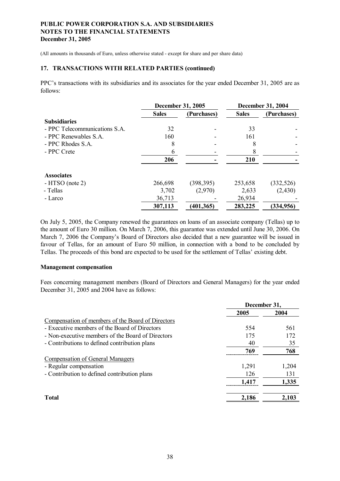(All amounts in thousands of Euro, unless otherwise stated - except for share and per share data)

#### **17. TRANSACTIONS WITH RELATED PARTIES (continued)**

PPC's transactions with its subsidiaries and its associates for the year ended December 31, 2005 are as follows:

|                               | <b>December 31, 2005</b> |             |              | <b>December 31, 2004</b> |
|-------------------------------|--------------------------|-------------|--------------|--------------------------|
|                               | <b>Sales</b>             | (Purchases) | <b>Sales</b> | (Purchases)              |
| <b>Subsidiaries</b>           |                          |             |              |                          |
| - PPC Telecommunications S.A. | 32                       |             | 33           |                          |
| - PPC Renewables S.A.         | 160                      |             | 161          |                          |
| - PPC Rhodes S.A.             | 8                        |             |              |                          |
| - PPC Crete                   | 6                        |             |              |                          |
|                               | 206                      |             | 210          |                          |
| <b>Associates</b>             |                          |             |              |                          |
| $-HTSO$ (note 2)              | 266,698                  | (398, 395)  | 253,658      | (332, 526)               |
| - Tellas                      | 3,702                    | (2,970)     | 2,633        | (2,430)                  |
| - Larco                       | 36,713                   |             | 26,934       |                          |
|                               | 307,113                  | (401, 365)  | 283,225      | (334, 956)               |

On July 5, 2005, the Company renewed the guarantees on loans of an associate company (Tellas) up to the amount of Euro 30 million. On March 7, 2006, this guarantee was extended until June 30, 2006. On March 7, 2006 the Company's Board of Directors also decided that a new guarantee will be issued in favour of Tellas, for an amount of Euro 50 million, in connection with a bond to be concluded by Tellas. The proceeds of this bond are expected to be used for the settlement of Tellas' existing debt.

#### **Management compensation**

Fees concerning management members (Board of Directors and General Managers) for the year ended December 31, 2005 and 2004 have as follows:

|                                                   | December 31, |       |
|---------------------------------------------------|--------------|-------|
|                                                   | 2005         | 2004  |
| Compensation of members of the Board of Directors |              |       |
| - Executive members of the Board of Directors     | 554          | 561   |
| - Non-executive members of the Board of Directors | 175          | 172   |
| - Contributions to defined contribution plans     | 40           | 35    |
|                                                   | 769          | 768   |
| Compensation of General Managers                  |              |       |
| - Regular compensation                            | 1,291        | 1,204 |
| - Contribution to defined contribution plans      | 126          | 131   |
|                                                   | 1,417        | 1.335 |
| <b>Total</b>                                      | 2,186        | 2,103 |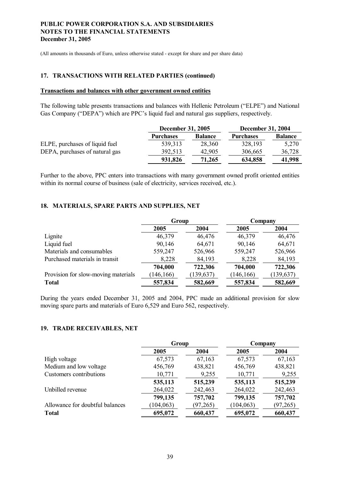(All amounts in thousands of Euro, unless otherwise stated - except for share and per share data)

#### **17. TRANSACTIONS WITH RELATED PARTIES (continued)**

### **Transactions and balances with other government owned entities**

The following table presents transactions and balances with Hellenic Petroleum ("ELPE") and National Gas Company ("DEPA") which are PPC's liquid fuel and natural gas suppliers, respectively.

|                                |                  | <b>December 31, 2005</b> |                  | <b>December 31, 2004</b> |
|--------------------------------|------------------|--------------------------|------------------|--------------------------|
|                                | <b>Purchases</b> | <b>Balance</b>           | <b>Purchases</b> | <b>Balance</b>           |
| ELPE, purchases of liquid fuel | 539,313          | 28,360                   | 328,193          | 5,270                    |
| DEPA, purchases of natural gas | 392,513          | 42,905                   | 306,665          | 36,728                   |
|                                | 931,826          | 71,265                   | 634,858          | 41,998                   |

Further to the above, PPC enters into transactions with many government owned profit oriented entities within its normal course of business (sale of electricity, services received, etc.).

### **18. MATERIALS, SPARE PARTS AND SUPPLIES, NET**

|                                     | Group      |            | Company    |            |
|-------------------------------------|------------|------------|------------|------------|
|                                     | 2005       | 2004       | 2005       | 2004       |
| Lignite                             | 46,379     | 46,476     | 46,379     | 46,476     |
| Liquid fuel                         | 90,146     | 64,671     | 90,146     | 64,671     |
| Materials and consumables           | 559,247    | 526,966    | 559,247    | 526,966    |
| Purchased materials in transit      | 8,228      | 84,193     | 8,228      | 84,193     |
|                                     | 704,000    | 722,306    | 704,000    | 722,306    |
| Provision for slow-moving materials | (146, 166) | (139, 637) | (146, 166) | (139, 637) |
| <b>Total</b>                        | 557,834    | 582,669    | 557,834    | 582,669    |

During the years ended December 31, 2005 and 2004, PPC made an additional provision for slow moving spare parts and materials of Euro 6,529 and Euro 562, respectively.

#### **19. TRADE RECEIVABLES, NET**

|                                 | Group      |           | Company    |           |
|---------------------------------|------------|-----------|------------|-----------|
|                                 | 2005       | 2004      | 2005       | 2004      |
| High voltage                    | 67,573     | 67,163    | 67,573     | 67,163    |
| Medium and low voltage          | 456,769    | 438,821   | 456,769    | 438,821   |
| Customers contributions         | 10,771     | 9,255     | 10,771     | 9,255     |
|                                 | 535,113    | 515,239   | 535,113    | 515,239   |
| Unbilled revenue                | 264,022    | 242,463   | 264,022    | 242,463   |
|                                 | 799,135    | 757,702   | 799,135    | 757,702   |
| Allowance for doubtful balances | (104, 063) | (97, 265) | (104, 063) | (97, 265) |
| <b>Total</b>                    | 695,072    | 660,437   | 695,072    | 660,437   |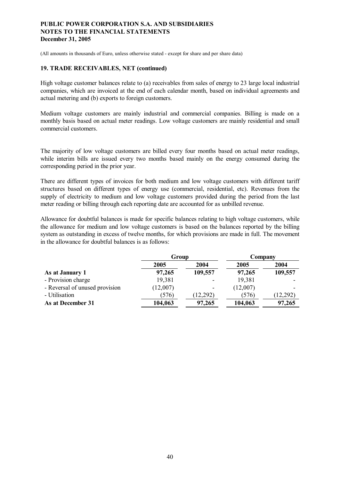(All amounts in thousands of Euro, unless otherwise stated - except for share and per share data)

#### **19. TRADE RECEIVABLES, NET (continued)**

High voltage customer balances relate to (a) receivables from sales of energy to 23 large local industrial companies, which are invoiced at the end of each calendar month, based on individual agreements and actual metering and (b) exports to foreign customers.

Medium voltage customers are mainly industrial and commercial companies. Billing is made on a monthly basis based on actual meter readings. Low voltage customers are mainly residential and small commercial customers.

The majority of low voltage customers are billed every four months based on actual meter readings, while interim bills are issued every two months based mainly on the energy consumed during the corresponding period in the prior year.

There are different types of invoices for both medium and low voltage customers with different tariff structures based on different types of energy use (commercial, residential, etc). Revenues from the supply of electricity to medium and low voltage customers provided during the period from the last meter reading or billing through each reporting date are accounted for as unbilled revenue.

Allowance for doubtful balances is made for specific balances relating to high voltage customers, while the allowance for medium and low voltage customers is based on the balances reported by the billing system as outstanding in excess of twelve months, for which provisions are made in full. The movement in the allowance for doubtful balances is as follows:

|                                | Group    |         | Company  |          |
|--------------------------------|----------|---------|----------|----------|
|                                | 2005     | 2004    | 2005     | 2004     |
| As at January 1                | 97,265   | 109,557 | 97,265   | 109,557  |
| - Provision charge             | 19,381   |         | 19,381   |          |
| - Reversal of unused provision | (12,007) |         | (12,007) |          |
| - Utilisation                  | (576)    | 12,292) | (576)    | (12,292) |
| As at December 31              | 104,063  | 97,265  | 104,063  | 97,265   |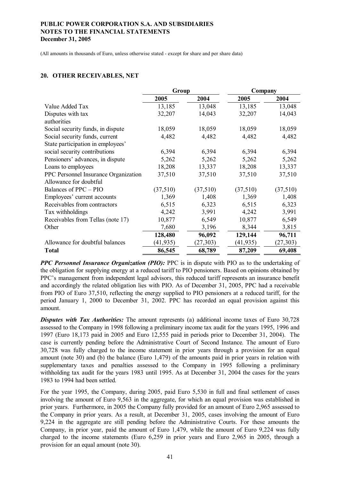(All amounts in thousands of Euro, unless otherwise stated - except for share and per share data)

#### **20. OTHER RECEIVABLES, NET**

|                                      | Group     |           | Company   |           |
|--------------------------------------|-----------|-----------|-----------|-----------|
|                                      | 2005      | 2004      | 2005      | 2004      |
| Value Added Tax                      | 13,185    | 13,048    | 13,185    | 13,048    |
| Disputes with tax                    | 32,207    | 14,043    | 32,207    | 14,043    |
| authorities                          |           |           |           |           |
| Social security funds, in dispute    | 18,059    | 18,059    | 18,059    | 18,059    |
| Social security funds, current       | 4,482     | 4,482     | 4,482     | 4,482     |
| State participation in employees'    |           |           |           |           |
| social security contributions        | 6,394     | 6,394     | 6,394     | 6,394     |
| Pensioners' advances, in dispute     | 5,262     | 5,262     | 5,262     | 5,262     |
| Loans to employees                   | 18,208    | 13,337    | 18,208    | 13,337    |
| PPC Personnel Insurance Organization | 37,510    | 37,510    | 37,510    | 37,510    |
| Allowance for doubtful               |           |           |           |           |
| Balances of PPC – PIO                | (37,510)  | (37,510)  | (37,510)  | (37,510)  |
| Employees' current accounts          | 1,369     | 1,408     | 1,369     | 1,408     |
| Receivables from contractors         | 6,515     | 6,323     | 6,515     | 6,323     |
| Tax withholdings                     | 4,242     | 3,991     | 4,242     | 3,991     |
| Receivables from Tellas (note 17)    | 10,877    | 6,549     | 10,877    | 6,549     |
| Other                                | 7,680     | 3,196     | 8,344     | 3,815     |
|                                      | 128,480   | 96,092    | 129,144   | 96,711    |
| Allowance for doubtful balances      | (41, 935) | (27, 303) | (41, 935) | (27, 303) |
| <b>Total</b>                         | 86,545    | 68,789    | 87,209    | 69,408    |

*PPC Personnel Insurance Organization (PIO):* PPC is in dispute with PIO as to the undertaking of the obligation for supplying energy at a reduced tariff to PIO pensioners. Based on opinions obtained by PPC's management from independent legal advisors, this reduced tariff represents an insurance benefit and accordingly the related obligation lies with PIO. As of December 31, 2005, PPC had a receivable from PIO of Euro 37,510, reflecting the energy supplied to PIO pensioners at a reduced tariff, for the period January 1, 2000 to December 31, 2002. PPC has recorded an equal provision against this amount.

*Disputes with Tax Authorities:* The amount represents (a) additional income taxes of Euro 30,728 assessed to the Company in 1998 following a preliminary income tax audit for the years 1995, 1996 and 1997 (Euro 18,173 paid in 2005 and Euro 12,555 paid in periods prior to December 31, 2004). The case is currently pending before the Administrative Court of Second Instance. The amount of Euro 30,728 was fully charged to the income statement in prior years through a provision for an equal amount (note 30) and (b) the balance (Euro 1,479) of the amounts paid in prior years in relation with supplementary taxes and penalties assessed to the Company in 1995 following a preliminary withholding tax audit for the years 1983 until 1995. As at December 31, 2004 the cases for the years 1983 to 1994 had been settled.

For the year 1995, the Company, during 2005, paid Euro 5,530 in full and final settlement of cases involving the amount of Euro 9,563 in the aggregate, for which an equal provision was established in prior years. Furthermore, in 2005 the Company fully provided for an amount of Euro 2,965 assessed to the Company in prior years. As a result, at December 31, 2005, cases involving the amount of Euro 9,224 in the aggregate are still pending before the Administrative Courts. For these amounts the Company, in prior year, paid the amount of Euro 1,479, while the amount of Euro 9,224 was fully charged to the income statements (Euro 6,259 in prior years and Euro 2,965 in 2005, through a provision for an equal amount (note 30).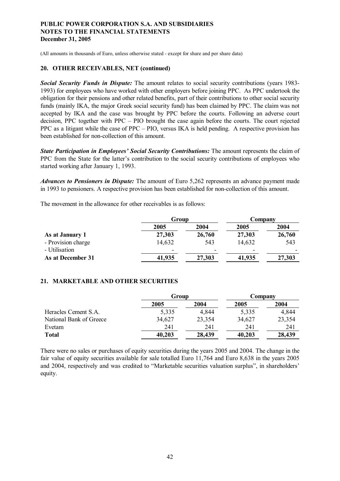(All amounts in thousands of Euro, unless otherwise stated - except for share and per share data)

#### **20. OTHER RECEIVABLES, NET (continued)**

*Social Security Funds in Dispute:* The amount relates to social security contributions (years 1983- 1993) for employees who have worked with other employers before joining PPC. As PPC undertook the obligation for their pensions and other related benefits, part of their contributions to other social security funds (mainly IKA, the major Greek social security fund) has been claimed by PPC. The claim was not accepted by IKA and the case was brought by PPC before the courts. Following an adverse court decision, PPC together with PPC – PIO brought the case again before the courts. The court rejected PPC as a litigant while the case of PPC – PIO, versus IKA is held pending. A respective provision has been established for non-collection of this amount.

*State Participation in Employees' Social Security Contributions:* The amount represents the claim of PPC from the State for the latter's contribution to the social security contributions of employees who started working after January 1, 1993.

*Advances to Pensioners in Dispute:* The amount of Euro 5,262 represents an advance payment made in 1993 to pensioners. A respective provision has been established for non-collection of this amount.

The movement in the allowance for other receivables is as follows:

|                    | Group                    |                          | Company                  |        |
|--------------------|--------------------------|--------------------------|--------------------------|--------|
|                    | 2005                     | 2004                     | 2005                     | 2004   |
| As at January 1    | 27,303                   | 26,760                   | 27,303                   | 26,760 |
| - Provision charge | 14,632                   | 543                      | 14,632                   | 543    |
| - Utilisation      | $\overline{\phantom{0}}$ | $\overline{\phantom{0}}$ | $\overline{\phantom{0}}$ |        |
| As at December 31  | 41,935                   | 27,303                   | 41,935                   | 27,303 |
|                    |                          |                          |                          |        |

### **21. MARKETABLE AND OTHER SECURITIES**

|                         | Group  |        | Company |        |
|-------------------------|--------|--------|---------|--------|
|                         | 2005   | 2004   | 2005    | 2004   |
| Heracles Cement S.A.    | 5,335  | 4,844  | 5,335   | 4,844  |
| National Bank of Greece | 34,627 | 23,354 | 34,627  | 23,354 |
| Evetam                  | 241    | 241    | 241     | 241    |
| <b>Total</b>            | 40,203 | 28,439 | 40,203  | 28,439 |

There were no sales or purchases of equity securities during the years 2005 and 2004. The change in the fair value of equity securities available for sale totalled Euro 11,764 and Euro 8,638 in the years 2005 and 2004, respectively and was credited to "Marketable securities valuation surplus", in shareholders' equity.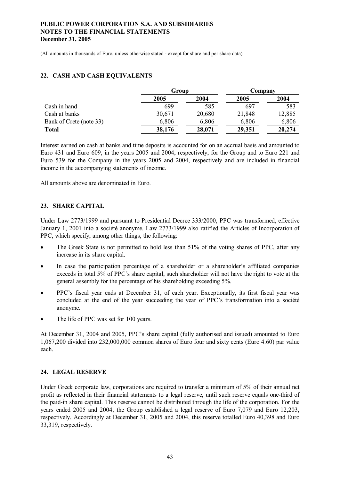(All amounts in thousands of Euro, unless otherwise stated - except for share and per share data)

### **22. CASH AND CASH EQUIVALENTS**

|                         | Group  |        | Company |        |
|-------------------------|--------|--------|---------|--------|
|                         | 2005   | 2004   | 2005    | 2004   |
| Cash in hand            | 699    | 585    | 697     | 583    |
| Cash at banks           | 30,671 | 20,680 | 21,848  | 12,885 |
| Bank of Crete (note 33) | 6,806  | 6,806  | 6,806   | 6,806  |
| <b>Total</b>            | 38,176 | 28,071 | 29,351  | 20,274 |

Interest earned on cash at banks and time deposits is accounted for on an accrual basis and amounted to Euro 431 and Euro 609, in the years 2005 and 2004, respectively, for the Group and to Euro 221 and Euro 539 for the Company in the years 2005 and 2004, respectively and are included in financial income in the accompanying statements of income.

All amounts above are denominated in Euro.

### **23. SHARE CAPITAL**

Under Law 2773/1999 and pursuant to Presidential Decree 333/2000, PPC was transformed, effective January 1, 2001 into a société anonyme. Law 2773/1999 also ratified the Articles of Incorporation of PPC, which specify, among other things, the following:

- The Greek State is not permitted to hold less than 51% of the voting shares of PPC, after any increase in its share capital.
- · In case the participation percentage of a shareholder or a shareholder's affiliated companies exceeds in total 5% of PPC´s share capital, such shareholder will not have the right to vote at the general assembly for the percentage of his shareholding exceeding 5%.
- · PPC's fiscal year ends at December 31, of each year. Exceptionally, its first fiscal year was concluded at the end of the year succeeding the year of PPC's transformation into a société anonyme.
- The life of PPC was set for 100 years.

At December 31, 2004 and 2005, PPC's share capital (fully authorised and issued) amounted to Euro 1,067,200 divided into 232,000,000 common shares of Euro four and sixty cents (Euro 4.60) par value each.

### **24. LEGAL RESERVE**

Under Greek corporate law, corporations are required to transfer a minimum of 5% of their annual net profit as reflected in their financial statements to a legal reserve, until such reserve equals one-third of the paid-in share capital. This reserve cannot be distributed through the life of the corporation. For the years ended 2005 and 2004, the Group established a legal reserve of Euro 7,079 and Euro 12,203, respectively. Accordingly at December 31, 2005 and 2004, this reserve totalled Euro 40,398 and Euro 33,319, respectively.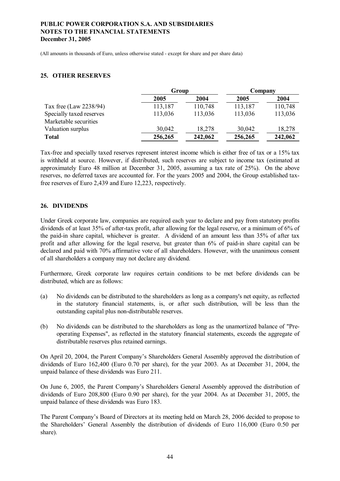(All amounts in thousands of Euro, unless otherwise stated - except for share and per share data)

### **25. OTHER RESERVES**

|                          | Group   |         | Company |         |
|--------------------------|---------|---------|---------|---------|
|                          | 2005    | 2004    | 2005    | 2004    |
| Tax free (Law 2238/94)   | 113,187 | 110,748 | 113,187 | 110,748 |
| Specially taxed reserves | 113,036 | 113,036 | 113,036 | 113,036 |
| Marketable securities    |         |         |         |         |
| Valuation surplus        | 30,042  | 18,278  | 30,042  | 18,278  |
| <b>Total</b>             | 256,265 | 242,062 | 256,265 | 242,062 |

Tax-free and specially taxed reserves represent interest income which is either free of tax or a 15% tax is withheld at source. However, if distributed, such reserves are subject to income tax (estimated at approximately Euro 48 million at December 31, 2005, assuming a tax rate of 25%). On the above reserves, no deferred taxes are accounted for. For the years 2005 and 2004, the Group established taxfree reserves of Euro 2,439 and Euro 12,223, respectively.

### **26. DIVIDENDS**

Under Greek corporate law, companies are required each year to declare and pay from statutory profits dividends of at least 35% of after-tax profit, after allowing for the legal reserve, or a minimum of 6% of the paid-in share capital, whichever is greater. A dividend of an amount less than 35% of after tax profit and after allowing for the legal reserve, but greater than 6% of paid-in share capital can be declared and paid with 70% affirmative vote of all shareholders. However, with the unanimous consent of all shareholders a company may not declare any dividend.

Furthermore, Greek corporate law requires certain conditions to be met before dividends can be distributed, which are as follows:

- (a) No dividends can be distributed to the shareholders as long as a company's net equity, as reflected in the statutory financial statements, is, or after such distribution, will be less than the outstanding capital plus non-distributable reserves.
- (b) No dividends can be distributed to the shareholders as long as the unamortized balance of "Preoperating Expenses", as reflected in the statutory financial statements, exceeds the aggregate of distributable reserves plus retained earnings.

On April 20, 2004, the Parent Company's Shareholders General Assembly approved the distribution of dividends of Euro 162,400 (Euro 0.70 per share), for the year 2003. As at December 31, 2004, the unpaid balance of these dividends was Euro 211.

On June 6, 2005, the Parent Company's Shareholders General Assembly approved the distribution of dividends of Euro 208,800 (Euro 0.90 per share), for the year 2004. As at December 31, 2005, the unpaid balance of these dividends was Euro 183.

The Parent Company's Board of Directors at its meeting held on March 28, 2006 decided to propose to the Shareholders' General Assembly the distribution of dividends of Euro 116,000 (Euro 0.50 per share).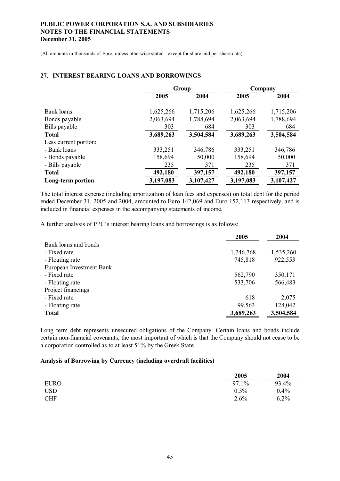(All amounts in thousands of Euro, unless otherwise stated - except for share and per share data)

#### **27. INTEREST BEARING LOANS AND BORROWINGS**

|                       | Group     |           | Company   |           |
|-----------------------|-----------|-----------|-----------|-----------|
|                       | 2005      | 2004      | 2005      | 2004      |
|                       |           |           |           |           |
| Bank loans            | 1,625,266 | 1,715,206 | 1,625,266 | 1,715,206 |
| Bonds payable         | 2,063,694 | 1,788,694 | 2,063,694 | 1,788,694 |
| Bills payable         | 303       | 684       | 303       | 684       |
| <b>Total</b>          | 3,689,263 | 3,504,584 | 3,689,263 | 3,504,584 |
| Less current portion: |           |           |           |           |
| - Bank loans          | 333,251   | 346,786   | 333,251   | 346,786   |
| - Bonds payable       | 158,694   | 50,000    | 158,694   | 50,000    |
| - Bills payable       | 235       | 371       | 235       | 371       |
| <b>Total</b>          | 492,180   | 397,157   | 492,180   | 397,157   |
| Long-term portion     | 3,197,083 | 3,107,427 | 3,197,083 | 3,107,427 |

The total interest expense (including amortization of loan fees and expenses) on total debt for the period ended December 31, 2005 and 2004, amounted to Euro 142,069 and Euro 152,113 respectively, and is included in financial expenses in the accompanying statements of income.

A further analysis of PPC's interest bearing loans and borrowings is as follows:

|                          | 2005      | 2004      |
|--------------------------|-----------|-----------|
| Bank loans and bonds     |           |           |
| - Fixed rate             | 1,746,768 | 1,535,260 |
| - Floating rate          | 745,818   | 922,553   |
| European Investment Bank |           |           |
| - Fixed rate             | 562,790   | 350,171   |
| - Floating rate          | 533,706   | 566,483   |
| Project financings       |           |           |
| - Fixed rate             | 618       | 2,075     |
| - Floating rate          | 99,563    | 128,042   |
| <b>Total</b>             | 3,689,263 | 3,504,584 |

Long term debt represents unsecured obligations of the Company. Certain loans and bonds include certain non-financial covenants, the most important of which is that the Company should not cease to be a corporation controlled as to at least 51% by the Greek State.

#### **Analysis of Borrowing by Currency (including overdraft facilities)**

|             | 2005    | 2004    |
|-------------|---------|---------|
| <b>EURO</b> | 97.1%   | 93.4%   |
| <b>USD</b>  | $0.3\%$ | $0.4\%$ |
| <b>CHF</b>  | $2.6\%$ | 6.2%    |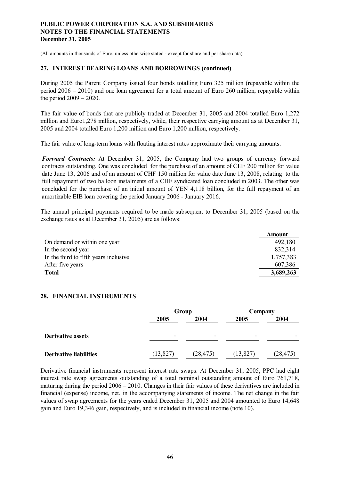(All amounts in thousands of Euro, unless otherwise stated - except for share and per share data)

#### **27. INTEREST BEARING LOANS AND BORROWINGS (continued)**

During 2005 the Parent Company issued four bonds totalling Euro 325 million (repayable within the period 2006 – 2010) and one loan agreement for a total amount of Euro 260 million, repayable within the period 2009 – 2020.

The fair value of bonds that are publicly traded at December 31, 2005 and 2004 totalled Euro 1,272 million and Euro1,278 million, respectively, while, their respective carrying amount as at December 31, 2005 and 2004 totalled Euro 1,200 million and Euro 1,200 million, respectively.

The fair value of long-term loans with floating interest rates approximate their carrying amounts.

*Forward Contracts:* At December 31, 2005, the Company had two groups of currency forward contracts outstanding. One was concluded for the purchase of an amount of CHF 200 million for value date June 13, 2006 and of an amount of CHF 150 million for value date June 13, 2008, relating to the full repayment of two balloon instalments of a CHF syndicated loan concluded in 2003. The other was concluded for the purchase of an initial amount of YEN 4,118 billion, for the full repayment of an amortizable EIB loan covering the period January 2006 - January 2016.

The annual principal payments required to be made subsequent to December 31, 2005 (based on the exchange rates as at December 31, 2005) are as follows:

|                                       | <b>Amount</b> |
|---------------------------------------|---------------|
| On demand or within one year          | 492,180       |
| In the second year                    | 832,314       |
| In the third to fifth years inclusive | 1,757,383     |
| After five years                      | 607,386       |
| <b>Total</b>                          | 3,689,263     |

#### **28. FINANCIAL INSTRUMENTS**

|                               | Group                    |           | Company   |                          |
|-------------------------------|--------------------------|-----------|-----------|--------------------------|
|                               | 2005                     | 2004      | 2005      | 2004                     |
| <b>Derivative assets</b>      | $\overline{\phantom{0}}$ |           |           | $\overline{\phantom{0}}$ |
| <b>Derivative liabilities</b> | (13, 827)                | (28, 475) | (13, 827) | (28, 475)                |

Derivative financial instruments represent interest rate swaps. At December 31, 2005, PPC had eight interest rate swap agreements outstanding of a total nominal outstanding amount of Euro 761,718, maturing during the period 2006 – 2010. Changes in their fair values of these derivatives are included in financial (expense) income, net, in the accompanying statements of income. The net change in the fair values of swap agreements for the years ended December 31, 2005 and 2004 amounted to Euro 14,648 gain and Euro 19,346 gain, respectively, and is included in financial income (note 10).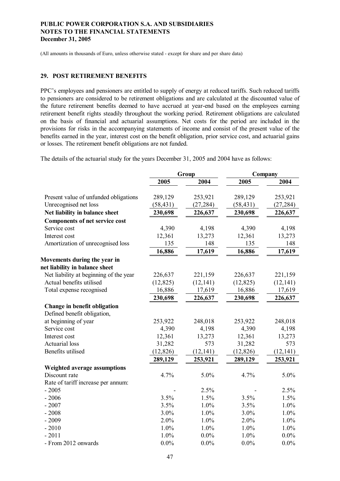(All amounts in thousands of Euro, unless otherwise stated - except for share and per share data)

#### **29. POST RETIREMENT BENEFITS**

PPC's employees and pensioners are entitled to supply of energy at reduced tariffs. Such reduced tariffs to pensioners are considered to be retirement obligations and are calculated at the discounted value of the future retirement benefits deemed to have accrued at year-end based on the employees earning retirement benefit rights steadily throughout the working period. Retirement obligations are calculated on the basis of financial and actuarial assumptions. Net costs for the period are included in the provisions for risks in the accompanying statements of income and consist of the present value of the benefits earned in the year, interest cost on the benefit obligation, prior service cost, and actuarial gains or losses. The retirement benefit obligations are not funded.

The details of the actuarial study for the years December 31, 2005 and 2004 have as follows:

|                                        |           | Group     |           | Company   |  |
|----------------------------------------|-----------|-----------|-----------|-----------|--|
|                                        | 2005      | 2004      | 2005      | 2004      |  |
|                                        |           |           |           |           |  |
| Present value of unfunded obligations  | 289,129   | 253,921   | 289,129   | 253,921   |  |
| Unrecognised net loss                  | (58, 431) | (27, 284) | (58, 431) | (27, 284) |  |
| Net liability in balance sheet         | 230,698   | 226,637   | 230,698   | 226,637   |  |
| <b>Components of net service cost</b>  |           |           |           |           |  |
| Service cost                           | 4,390     | 4,198     | 4,390     | 4,198     |  |
| Interest cost                          | 12,361    | 13,273    | 12,361    | 13,273    |  |
| Amortization of unrecognised loss      | 135       | 148       | 135       | 148       |  |
|                                        | 16,886    | 17,619    | 16,886    | 17,619    |  |
| Movements during the year in           |           |           |           |           |  |
| net liability in balance sheet         |           |           |           |           |  |
| Net liability at beginning of the year | 226,637   | 221,159   | 226,637   | 221,159   |  |
| Actual benefits utilised               | (12, 825) | (12, 141) | (12, 825) | (12, 141) |  |
| Total expense recognised               | 16,886    | 17,619    | 16,886    | 17,619    |  |
|                                        | 230,698   | 226,637   | 230,698   | 226,637   |  |
| Change in benefit obligation           |           |           |           |           |  |
| Defined benefit obligation,            |           |           |           |           |  |
| at beginning of year                   | 253,922   | 248,018   | 253,922   | 248,018   |  |
| Service cost                           | 4,390     | 4,198     | 4,390     | 4,198     |  |
| Interest cost                          | 12,361    | 13,273    | 12,361    | 13,273    |  |
| <b>Actuarial</b> loss                  | 31,282    | 573       | 31,282    | 573       |  |
| Benefits utilised                      | (12, 826) | (12, 141) | (12, 826) | (12, 141) |  |
|                                        | 289,129   | 253,921   | 289,129   | 253,921   |  |
| Weighted average assumptions           |           |           |           |           |  |
| Discount rate                          | 4.7%      | 5.0%      | 4.7%      | 5.0%      |  |
| Rate of tariff increase per annum:     |           |           |           |           |  |
| $-2005$                                |           | 2.5%      |           | 2.5%      |  |
| $-2006$                                | 3.5%      | 1.5%      | 3.5%      | 1.5%      |  |
| $-2007$                                | 3.5%      | 1.0%      | 3.5%      | 1.0%      |  |
| $-2008$                                | 3.0%      | 1.0%      | 3.0%      | 1.0%      |  |
| $-2009$                                | 2.0%      | 1.0%      | 2.0%      | 1.0%      |  |
| $-2010$                                | 1.0%      | 1.0%      | 1.0%      | 1.0%      |  |
| $-2011$                                | 1.0%      | $0.0\%$   | 1.0%      | $0.0\%$   |  |
| - From 2012 onwards                    | $0.0\%$   | $0.0\%$   | 0.0%      | 0.0%      |  |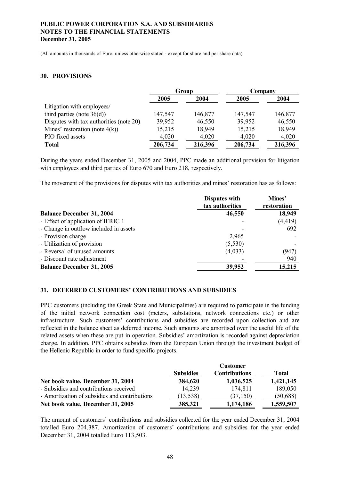(All amounts in thousands of Euro, unless otherwise stated - except for share and per share data)

#### **30. PROVISIONS**

|                                         | Group   |         | Company |         |
|-----------------------------------------|---------|---------|---------|---------|
|                                         | 2005    | 2004    | 2005    | 2004    |
| Litigation with employees/              |         |         |         |         |
| third parties (note $36(d)$ )           | 147,547 | 146,877 | 147,547 | 146,877 |
| Disputes with tax authorities (note 20) | 39,952  | 46,550  | 39,952  | 46,550  |
| Mines' restoration (note $4(k)$ )       | 15,215  | 18,949  | 15,215  | 18,949  |
| PIO fixed assets                        | 4,020   | 4,020   | 4,020   | 4,020   |
| <b>Total</b>                            | 206,734 | 216,396 | 206,734 | 216,396 |

During the years ended December 31, 2005 and 2004, PPC made an additional provision for litigation with employees and third parties of Euro 670 and Euro 218, respectively.

The movement of the provisions for disputes with tax authorities and mines' restoration has as follows:

|                                        | <b>Disputes with</b><br>tax authorities | Mines'<br>restoration |
|----------------------------------------|-----------------------------------------|-----------------------|
| <b>Balance December 31, 2004</b>       | 46,550                                  | 18,949                |
| - Effect of application of IFRIC 1     |                                         | (4, 419)              |
| - Change in outflow included in assets |                                         | 692                   |
| - Provision charge                     | 2,965                                   |                       |
| - Utilization of provision             | (5,530)                                 |                       |
| - Reversal of unused amounts           | (4,033)                                 | (947)                 |
| - Discount rate adjustment             |                                         | 940                   |
| <b>Balance December 31, 2005</b>       | 39,952                                  | 15,215                |

#### **31. DEFERRED CUSTOMERS' CONTRIBUTIONS AND SUBSIDIES**

PPC customers (including the Greek State and Municipalities) are required to participate in the funding of the initial network connection cost (meters, substations, network connections etc.) or other infrastructure. Such customers' contributions and subsidies are recorded upon collection and are reflected in the balance sheet as deferred income. Such amounts are amortised over the useful life of the related assets when these are put in operation. Subsidies' amortization is recorded against depreciation charge. In addition, PPC obtains subsidies from the European Union through the investment budget of the Hellenic Republic in order to fund specific projects.

|                                               |                  | <b>Customer</b>      |           |
|-----------------------------------------------|------------------|----------------------|-----------|
|                                               | <b>Subsidies</b> | <b>Contributions</b> | Total     |
| Net book value, December 31, 2004             | 384,620          | 1,036,525            | 1,421,145 |
| - Subsidies and contributions received        | 14.239           | 174,811              | 189,050   |
| - Amortization of subsidies and contributions | (13, 538)        | (37, 150)            | (50, 688) |
| Net book value, December 31, 2005             | 385,321          | 1,174,186            | 1,559,507 |

The amount of customers' contributions and subsidies collected for the year ended December 31, 2004 totalled Euro 204,387. Amortization of customers' contributions and subsidies for the year ended December 31, 2004 totalled Euro 113,503.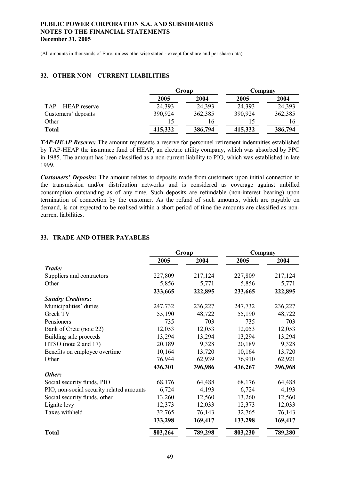(All amounts in thousands of Euro, unless otherwise stated - except for share and per share data)

#### **32. OTHER NON – CURRENT LIABILITIES**

|                     |         | Group   | Company |         |  |
|---------------------|---------|---------|---------|---------|--|
|                     | 2005    | 2004    | 2005    | 2004    |  |
| TAP – HEAP reserve  | 24,393  | 24,393  | 24,393  | 24,393  |  |
| Customers' deposits | 390,924 | 362,385 | 390,924 | 362,385 |  |
| Other               |         | 16      |         | 16      |  |
| <b>Total</b>        | 415,332 | 386,794 | 415,332 | 386,794 |  |

*TAP-HEAP Reserve:* The amount represents a reserve for personnel retirement indemnities established by TAP-HEAP the insurance fund of HEAP, an electric utility company, which was absorbed by PPC in 1985. The amount has been classified as a non-current liability to PIO, which was established in late 1999.

*Customers' Deposits:* The amount relates to deposits made from customers upon initial connection to the transmission and/or distribution networks and is considered as coverage against unbilled consumption outstanding as of any time. Such deposits are refundable (non-interest bearing) upon termination of connection by the customer. As the refund of such amounts, which are payable on demand, is not expected to be realised within a short period of time the amounts are classified as noncurrent liabilities.

### **33. TRADE AND OTHER PAYABLES**

|                                          |         | Group   |         | Company |  |  |
|------------------------------------------|---------|---------|---------|---------|--|--|
|                                          | 2005    | 2004    | 2005    | 2004    |  |  |
| Trade:                                   |         |         |         |         |  |  |
| Suppliers and contractors                | 227,809 | 217,124 | 227,809 | 217,124 |  |  |
| Other                                    | 5,856   | 5,771   | 5,856   | 5,771   |  |  |
|                                          | 233,665 | 222,895 | 233,665 | 222,895 |  |  |
| <b>Sundry Creditors:</b>                 |         |         |         |         |  |  |
| Municipalities' duties                   | 247,732 | 236,227 | 247,732 | 236,227 |  |  |
| Greek TV                                 | 55,190  | 48,722  | 55,190  | 48,722  |  |  |
| Pensioners                               | 735     | 703     | 735     | 703     |  |  |
| Bank of Crete (note 22)                  | 12,053  | 12,053  | 12,053  | 12,053  |  |  |
| Building sale proceeds                   | 13,294  | 13,294  | 13,294  | 13,294  |  |  |
| HTSO (note 2 and 17)                     | 20,189  | 9,328   | 20,189  | 9,328   |  |  |
| Benefits on employee overtime            | 10,164  | 13,720  | 10,164  | 13,720  |  |  |
| Other                                    | 76,944  | 62,939  | 76,910  | 62,921  |  |  |
|                                          | 436,301 | 396,986 | 436,267 | 396,968 |  |  |
| Other:                                   |         |         |         |         |  |  |
| Social security funds, PIO               | 68,176  | 64,488  | 68,176  | 64,488  |  |  |
| PIO, non-social security related amounts | 6,724   | 4,193   | 6,724   | 4,193   |  |  |
| Social security funds, other             | 13,260  | 12,560  | 13,260  | 12,560  |  |  |
| Lignite levy                             | 12,373  | 12,033  | 12,373  | 12,033  |  |  |
| Taxes withheld                           | 32,765  | 76,143  | 32,765  | 76,143  |  |  |
|                                          | 133,298 | 169,417 | 133,298 | 169,417 |  |  |
| <b>Total</b>                             | 803,264 | 789,298 | 803,230 | 789,280 |  |  |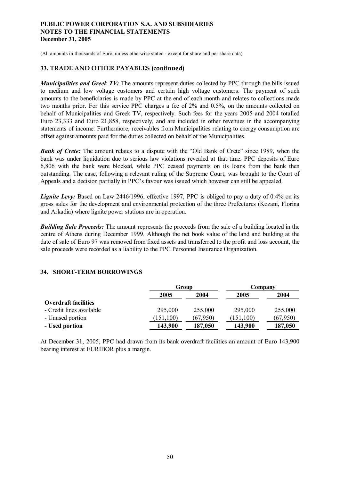(All amounts in thousands of Euro, unless otherwise stated - except for share and per share data)

### **33. TRADE AND OTHER PAYABLES (continued)**

*Municipalities and Greek TV:* The amounts represent duties collected by PPC through the bills issued to medium and low voltage customers and certain high voltage customers. The payment of such amounts to the beneficiaries is made by PPC at the end of each month and relates to collections made two months prior. For this service PPC charges a fee of 2% and 0.5%, on the amounts collected on behalf of Municipalities and Greek TV, respectively. Such fees for the years 2005 and 2004 totalled Euro 23,333 and Euro 21,858, respectively, and are included in other revenues in the accompanying statements of income. Furthermore, receivables from Municipalities relating to energy consumption are offset against amounts paid for the duties collected on behalf of the Municipalities.

**Bank of Crete:** The amount relates to a dispute with the "Old Bank of Crete" since 1989, when the bank was under liquidation due to serious law violations revealed at that time. PPC deposits of Euro 6,806 with the bank were blocked, while PPC ceased payments on its loans from the bank then outstanding. The case, following a relevant ruling of the Supreme Court, was brought to the Court of Appeals and a decision partially in PPC's favour was issued which however can still be appealed.

*Lignite Levy:* Based on Law 2446/1996, effective 1997, PPC is obliged to pay a duty of 0.4% on its gross sales for the development and environmental protection of the three Prefectures (Kozani, Florina and Arkadia) where lignite power stations are in operation.

*Building Sale Proceeds:* The amount represents the proceeds from the sale of a building located in the centre of Athens during December 1999. Although the net book value of the land and building at the date of sale of Euro 97 was removed from fixed assets and transferred to the profit and loss account, the sale proceeds were recorded as a liability to the PPC Personnel Insurance Organization.

### **34. SHORT-TERM BORROWINGS**

|                             | Group      |          | Company    |          |  |
|-----------------------------|------------|----------|------------|----------|--|
|                             | 2005       | 2004     | 2005       | 2004     |  |
| <b>Overdraft facilities</b> |            |          |            |          |  |
| - Credit lines available    | 295,000    | 255,000  | 295,000    | 255,000  |  |
| - Unused portion            | (151, 100) | (67.950) | (151, 100) | (67,950) |  |
| - Used portion              | 143,900    | 187,050  | 143,900    | 187,050  |  |

At December 31, 2005, PPC had drawn from its bank overdraft facilities an amount of Euro 143,900 bearing interest at EURIBOR plus a margin.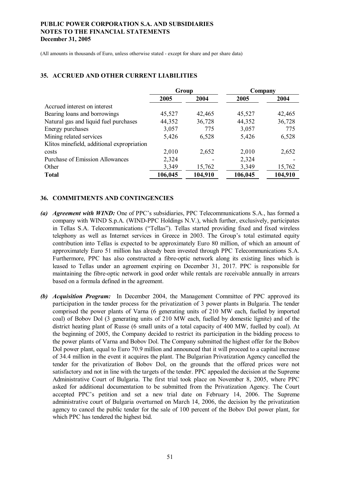(All amounts in thousands of Euro, unless otherwise stated - except for share and per share data)

|                                            | Group              |        | Company |         |  |
|--------------------------------------------|--------------------|--------|---------|---------|--|
|                                            | 2004<br>2005       |        | 2005    | 2004    |  |
| Accrued interest on interest               |                    |        |         |         |  |
| Bearing loans and borrowings               | 45,527             | 42,465 | 45,527  | 42,465  |  |
| Natural gas and liquid fuel purchases      | 44,352             | 36,728 | 44,352  | 36,728  |  |
| Energy purchases                           | 3,057              | 775    | 3,057   | 775     |  |
| Mining related services                    | 5,426              | 6,528  | 5,426   | 6,528   |  |
| Klitos minefield, additional expropriation |                    |        |         |         |  |
| costs                                      | 2,010              | 2,652  | 2,010   | 2,652   |  |
| <b>Purchase of Emission Allowances</b>     | 2,324              |        | 2,324   |         |  |
| Other                                      | 3,349              | 15,762 | 3,349   | 15,762  |  |
| <b>Total</b>                               | 104,910<br>106,045 |        |         | 104,910 |  |

#### **35. ACCRUED AND OTHER CURRENT LIABILITIES**

#### **36. COMMITMENTS AND CONTINGENCIES**

- *(a) Agreement with WIND:* One of PPC's subsidiaries, PPC Telecommunications S.A., has formed a company with WIND S.p.A. (WIND-PPC Holdings N.V.), which further, exclusively, participates in Tellas S.A. Telecommunications ("Tellas"). Tellas started providing fixed and fixed wireless telephony as well as Internet services in Greece in 2003. The Group's total estimated equity contribution into Tellas is expected to be approximately Euro 80 million, of which an amount of approximately Euro 51 million has already been invested through PPC Telecommunications S.A. Furthermore, PPC has also constructed a fibre-optic network along its existing lines which is leased to Tellas under an agreement expiring on December 31, 2017. PPC is responsible for maintaining the fibre-optic network in good order while rentals are receivable annually in arrears based on a formula defined in the agreement.
- *(b) Acquisition Program:* In December 2004, the Management Committee of PPC approved its participation in the tender process for the privatization of 3 power plants in Bulgaria. The tender comprised the power plants of Varna (6 generating units of 210 MW each, fuelled by imported coal) of Bobov Dol (3 generating units of 210 MW each, fuelled by domestic lignite) and of the district heating plant of Russe (6 small units of a total capacity of 400 MW, fuelled by coal). At the beginning of 2005, the Company decided to restrict its participation in the bidding process to the power plants of Varna and Bobov Dol. The Company submitted the highest offer for the Bobov Dol power plant, equal to Euro 70.9 million and announced that it will proceed to a capital increase of 34.4 million in the event it acquires the plant. The Bulgarian Privatization Agency cancelled the tender for the privatization of Bobov Dol, on the grounds that the offered prices were not satisfactory and not in line with the targets of the tender. PPC appealed the decision at the Supreme Administrative Court of Bulgaria. The first trial took place on November 8, 2005, where PPC asked for additional documentation to be submitted from the Privatization Agency. The Court accepted PPC's petition and set a new trial date on February 14, 2006. The Supreme administrative court of Bulgaria overturned on March 14, 2006, the decision by the privatization agency to cancel the public tender for the sale of 100 percent of the Bobov Dol power plant, for which PPC has tendered the highest bid.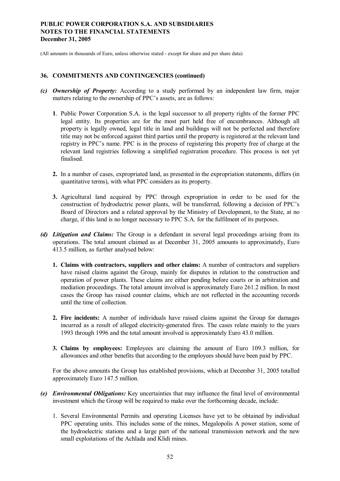(All amounts in thousands of Euro, unless otherwise stated - except for share and per share data)

#### **36. COMMITMENTS AND CONTINGENCIES (continued)**

- *(c) Ownership of Property:* According to a study performed by an independent law firm, major matters relating to the ownership of PPC's assets, are as follows:
	- **1**. Public Power Corporation S.A. is the legal successor to all property rights of the former PPC legal entity. Its properties are for the most part held free of encumbrances. Although all property is legally owned, legal title in land and buildings will not be perfected and therefore title may not be enforced against third parties until the property is registered at the relevant land registry in PPC's name. PPC is in the process of registering this property free of charge at the relevant land registries following a simplified registration procedure. This process is not yet finalised.
	- **2.** In a number of cases, expropriated land, as presented in the expropriation statements, differs (in quantitative terms), with what PPC considers as its property.
	- **3.** Agricultural land acquired by PPC through expropriation in order to be used for the construction of hydroelectric power plants, will be transferred, following a decision of PPC's Board of Directors and a related approval by the Ministry of Development, to the State, at no charge, if this land is no longer necessary to PPC S.A. for the fulfilment of its purposes.
- *(d) Litigation and Claims:* The Group is a defendant in several legal proceedings arising from its operations. The total amount claimed as at December 31, 2005 amounts to approximately, Euro 413.5 million, as further analysed below:
	- **1. Claims with contractors, suppliers and other claims:** A number of contractors and suppliers have raised claims against the Group, mainly for disputes in relation to the construction and operation of power plants. These claims are either pending before courts or in arbitration and mediation proceedings. The total amount involved is approximately Euro 261.2 million. In most cases the Group has raised counter claims, which are not reflected in the accounting records until the time of collection.
	- **2. Fire incidents:** A number of individuals have raised claims against the Group for damages incurred as a result of alleged electricity-generated fires. The cases relate mainly to the years 1993 through 1996 and the total amount involved is approximately Euro 43.0 million.
	- **3. Claims by employees:** Employees are claiming the amount of Euro 109.3 million, for allowances and other benefits that according to the employees should have been paid by PPC.

For the above amounts the Group has established provisions, which at December 31, 2005 totalled approximately Euro 147.5 million.

- *(e) Environmental Obligations:* Key uncertainties that may influence the final level of environmental investment which the Group will be required to make over the forthcoming decade, include:
	- 1. Several Environmental Permits and operating Licenses have yet to be obtained by individual PPC operating units. This includes some of the mines, Megalopolis A power station, some of the hydroelectric stations and a large part of the national transmission network and the new small exploitations of the Achlada and Klidi mines.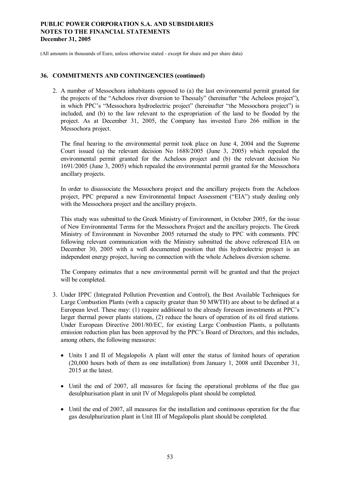(All amounts in thousands of Euro, unless otherwise stated - except for share and per share data)

#### **36. COMMITMENTS AND CONTINGENCIES (continued)**

2. A number of Messochora inhabitants opposed to (a) the last environmental permit granted for the projects of the "Acheloos river diversion to Thessaly" (hereinafter "the Acheloos project"), in which PPC's "Messochora hydroelectric project" (hereinafter "the Messochora project") is included, and (b) to the law relevant to the expropriation of the land to be flooded by the project. As at December 31, 2005, the Company has invested Euro 266 million in the Messochora project.

The final hearing to the environmental permit took place on June 4, 2004 and the Supreme Court issued (a) the relevant decision No 1688/2005 (June 3, 2005) which repealed the environmental permit granted for the Acheloos project and (b) the relevant decision No 1691/2005 (June 3, 2005) which repealed the environmental permit granted for the Messochora ancillary projects.

In order to disassociate the Messochora project and the ancillary projects from the Acheloos project, PPC prepared a new Environmental Impact Assessment ("EIA") study dealing only with the Messochora project and the ancillary projects.

This study was submitted to the Greek Ministry of Environment, in October 2005, for the issue of New Environmental Terms for the Messochora Project and the ancillary projects. The Greek Ministry of Environment in November 2005 returned the study to PPC with comments. PPC following relevant communication with the Ministry submitted the above referenced EIA on December 30, 2005 with a well documented position that this hydroelectric project is an independent energy project, having no connection with the whole Acheloos diversion scheme.

The Company estimates that a new environmental permit will be granted and that the project will be completed.

- 3. Under IPPC (Integrated Pollution Prevention and Control), the Best Available Techniques for Large Combustion Plants (with a capacity greater than 50 MWTH) are about to be defined at a European level. These may: (1) require additional to the already foreseen investments at PPC's larger thermal power plants stations, (2) reduce the hours of operation of its oil fired stations. Under European Directive 2001/80/EC, for existing Large Combustion Plants, a pollutants emission reduction plan has been approved by the PPC's Board of Directors, and this includes, among others, the following measures:
	- · Units I and II of Megalopolis A plant will enter the status of limited hours of operation (20,000 hours both of them as one installation) from January 1, 2008 until December 31, 2015 at the latest.
	- · Until the end of 2007, all measures for facing the operational problems of the flue gas desulphurisation plant in unit IV of Megalopolis plant should be completed.
	- Until the end of 2007, all measures for the installation and continuous operation for the flue gas desulphurization plant in Unit III of Megalopolis plant should be completed.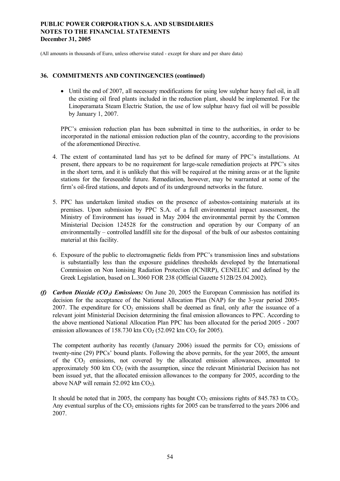(All amounts in thousands of Euro, unless otherwise stated - except for share and per share data)

#### **36. COMMITMENTS AND CONTINGENCIES (continued)**

• Until the end of 2007, all necessary modifications for using low sulphur heavy fuel oil, in all the existing oil fired plants included in the reduction plant, should be implemented. For the Linoperamata Steam Electric Station, the use of low sulphur heavy fuel oil will be possible by January 1, 2007.

PPC's emission reduction plan has been submitted in time to the authorities, in order to be incorporated in the national emission reduction plan of the country, according to the provisions of the aforementioned Directive.

- 4. The extent of contaminated land has yet to be defined for many of PPC's installations. At present, there appears to be no requirement for large-scale remediation projects at PPC's sites in the short term, and it is unlikely that this will be required at the mining areas or at the lignite stations for the foreseeable future. Remediation, however, may be warranted at some of the firm's oil-fired stations, and depots and of its underground networks in the future.
- 5. PPC has undertaken limited studies on the presence of asbestos-containing materials at its premises. Upon submission by PPC S.A. of a full environmental impact assessment, the Ministry of Environment has issued in May 2004 the environmental permit by the Common Ministerial Decision 124528 for the construction and operation by our Company of an environmentally – controlled landfill site for the disposal of the bulk of our asbestos containing material at this facility.
- 6. Exposure of the public to electromagnetic fields from PPC's transmission lines and substations is substantially less than the exposure guidelines thresholds developed by the International Commission on Non Ionising Radiation Protection (ICNIRP), CENELEC and defined by the Greek Legislation, based on L.3060 FOR 238 (Official Gazette 512B/25.04.2002).
- *(f) Carbon Dioxide (CO2) Emissions:* On June 20, 2005 the European Commission has notified its decision for the acceptance of the National Allocation Plan (NAP) for the 3-year period 2005- 2007. The expenditure for  $CO<sub>2</sub>$  emissions shall be deemed as final, only after the issuance of a relevant joint Ministerial Decision determining the final emission allowances to PPC. According to the above mentioned National Allocation Plan PPC has been allocated for the period 2005 - 2007 emission allowances of  $158.730$  ktn  $CO<sub>2</sub>$  (52.092 ktn  $CO<sub>2</sub>$  for 2005).

The competent authority has recently (January 2006) issued the permits for  $CO<sub>2</sub>$  emissions of twenty-nine (29) PPCs' bound plants. Following the above permits, for the year 2005, the amount of the  $CO<sub>2</sub>$  emissions, not covered by the allocated emission allowances, amounted to approximately 500 ktn  $CO<sub>2</sub>$  (with the assumption, since the relevant Ministerial Decision has not been issued yet, that the allocated emission allowances to the company for 2005, according to the above NAP will remain  $52.092$  ktn  $CO<sub>2</sub>$ ).

It should be noted that in 2005, the company has bought  $CO_2$  emissions rights of 845.783 tn  $CO_2$ . Any eventual surplus of the  $CO<sub>2</sub>$  emissions rights for 2005 can be transferred to the years 2006 and 2007.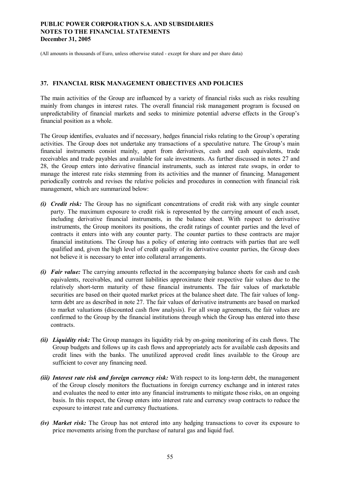(All amounts in thousands of Euro, unless otherwise stated - except for share and per share data)

### **37. FINANCIAL RISK MANAGEMENT OBJECTIVES AND POLICIES**

The main activities of the Group are influenced by a variety of financial risks such as risks resulting mainly from changes in interest rates. The overall financial risk management program is focused on unpredictability of financial markets and seeks to minimize potential adverse effects in the Group's financial position as a whole.

The Group identifies, evaluates and if necessary, hedges financial risks relating to the Group's operating activities. The Group does not undertake any transactions of a speculative nature. The Group's main financial instruments consist mainly, apart from derivatives, cash and cash equivalents, trade receivables and trade payables and available for sale investments. As further discussed in notes 27 and 28, the Group enters into derivative financial instruments, such as interest rate swaps, in order to manage the interest rate risks stemming from its activities and the manner of financing. Management periodically controls and revises the relative policies and procedures in connection with financial risk management, which are summarized below:

- *(i) Credit risk:* The Group has no significant concentrations of credit risk with any single counter party. The maximum exposure to credit risk is represented by the carrying amount of each asset, including derivative financial instruments, in the balance sheet. With respect to derivative instruments, the Group monitors its positions, the credit ratings of counter parties and the level of contracts it enters into with any counter party. The counter parties to these contracts are major financial institutions. The Group has a policy of entering into contracts with parties that are well qualified and, given the high level of credit quality of its derivative counter parties, the Group does not believe it is necessary to enter into collateral arrangements.
- *(i) Fair value:* The carrying amounts reflected in the accompanying balance sheets for cash and cash equivalents, receivables, and current liabilities approximate their respective fair values due to the relatively short-term maturity of these financial instruments. The fair values of marketable securities are based on their quoted market prices at the balance sheet date. The fair values of longterm debt are as described in note 27. The fair values of derivative instruments are based on marked to market valuations (discounted cash flow analysis). For all swap agreements, the fair values are confirmed to the Group by the financial institutions through which the Group has entered into these contracts.
- *(ii) Liquidity risk:* The Group manages its liquidity risk by on-going monitoring of its cash flows. The Group budgets and follows up its cash flows and appropriately acts for available cash deposits and credit lines with the banks. The unutilized approved credit lines available to the Group are sufficient to cover any financing need.
- *(iii) Interest rate risk and foreign currency risk:* With respect to its long-term debt, the management of the Group closely monitors the fluctuations in foreign currency exchange and in interest rates and evaluates the need to enter into any financial instruments to mitigate those risks, on an ongoing basis. In this respect, the Group enters into interest rate and currency swap contracts to reduce the exposure to interest rate and currency fluctuations.
- *(iv) Market risk:* The Group has not entered into any hedging transactions to cover its exposure to price movements arising from the purchase of natural gas and liquid fuel.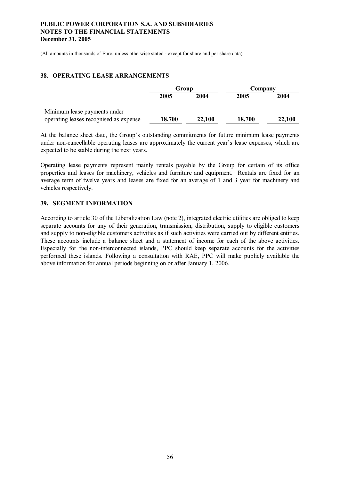(All amounts in thousands of Euro, unless otherwise stated - except for share and per share data)

#### **38. OPERATING LEASE ARRANGEMENTS**

|                                        | Group  |        | Company |        |  |
|----------------------------------------|--------|--------|---------|--------|--|
|                                        | 2005   | 2004   | 2005    | 2004   |  |
| Minimum lease payments under           |        |        |         |        |  |
| operating leases recognised as expense | 18,700 | 22,100 | 18,700  | 22,100 |  |

At the balance sheet date, the Group's outstanding commitments for future minimum lease payments under non-cancellable operating leases are approximately the current year's lease expenses, which are expected to be stable during the next years.

Operating lease payments represent mainly rentals payable by the Group for certain of its office properties and leases for machinery, vehicles and furniture and equipment. Rentals are fixed for an average term of twelve years and leases are fixed for an average of 1 and 3 year for machinery and vehicles respectively.

#### **39. SEGMENT INFORMATION**

According to article 30 of the Liberalization Law (note 2), integrated electric utilities are obliged to keep separate accounts for any of their generation, transmission, distribution, supply to eligible customers and supply to non-eligible customers activities as if such activities were carried out by different entities. These accounts include a balance sheet and a statement of income for each of the above activities. Especially for the non-interconnected islands, PPC should keep separate accounts for the activities performed these islands. Following a consultation with RAE, PPC will make publicly available the above information for annual periods beginning on or after January 1, 2006.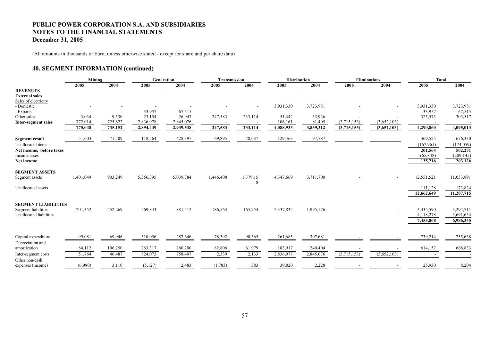(All amounts in thousands of Euro, unless otherwise stated - except for share and per share data)

### **40. SEGMENT INFORMATION (continued)**

|                                                                  | Mining    |         | Generation |           | Transmission |               | <b>Distribution</b> |           |             | <b>Eliminations</b> | <b>Total</b>           |                        |
|------------------------------------------------------------------|-----------|---------|------------|-----------|--------------|---------------|---------------------|-----------|-------------|---------------------|------------------------|------------------------|
|                                                                  | 2005      | 2004    | 2005       | 2004      | 2005         | 2004          | 2005                | 2004      | 2005        | 2004                | 2005                   | 2004                   |
| <b>REVENUES</b><br><b>External sales</b><br>Sales of electricity |           |         |            |           |              |               |                     |           |             |                     |                        |                        |
| - Domestic                                                       |           |         |            |           |              |               | 3,931,330           | 3.723,981 |             |                     | 3,931,330              | 3.723,981              |
| - Exports                                                        |           |         | 33,957     | 67,515    |              |               |                     |           |             |                     | 33,957                 | 67,515                 |
| Other sales                                                      | 3,034     | 9,530   | 23,154     | 26,947    | 247,583      | 233,114       | 51,442              | 33,926    |             |                     | 325,573                | 303,517                |
| Inter-segment sales                                              | 772,014   | 725,622 | 2,836,978  | 2,845,076 |              |               | 106,161             | 81,405    | (3,715,153) | (3,652,103)         |                        |                        |
|                                                                  | 775,048   | 735,152 | 2,894,449  | 2,939,538 | 247,583      | 233,114       | 4,088,933           | 3,839,312 | (3,715,153) | (3,652,103)         | 4,290,860              | 4,095,013              |
| <b>Segment result</b>                                            | 51,603    | 71,509  | 118,564    | 428,397   | 69,895       | 78,637        | 129,463             | 97,787    |             |                     | 369,525                | 676,330                |
| Unallocated items                                                |           |         |            |           |              |               |                     |           |             |                     | (167,961)              | (174, 059)             |
| Net income, before taxes                                         |           |         |            |           |              |               |                     |           |             |                     | 201,564                | 502,271                |
| Income taxes                                                     |           |         |            |           |              |               |                     |           |             |                     | (65, 848)              | (209, 145)             |
| Net income                                                       |           |         |            |           |              |               |                     |           |             |                     | 135,716                | 203,126                |
| <b>SEGMENT ASSETS</b><br>Segment assets                          | 1,401,049 | 903,249 | 5,356,395  | 5,039,784 | 1,446,408    | 1,379,15<br>8 | 4,347,669           | 3,711,700 |             |                     | 12,551,521             | 11,033,891             |
| Unallocated assets                                               |           |         |            |           |              |               |                     |           |             |                     | 111,128                | 173,824                |
|                                                                  |           |         |            |           |              |               |                     |           |             |                     | 12,662,649             | 11,207,715             |
| <b>SEGMENT LIABILITIES</b><br>Segment liabilities                | 201,352   | 252,269 | 569,843    | 881,512   | 186,563      | 165,754       | 2,337,832           | 1,995,176 |             |                     | 3,335,590              | 3,294,711              |
| Unallocated liabilities                                          |           |         |            |           |              |               |                     |           |             |                     | 4,118,278<br>7,453,868 | 3,691,634<br>6,986,345 |
| Capital expenditure                                              | 99,081    | 69,946  | 310,056    | 287,646   | 78,392       | 90,365        | 261,685             | 307,681   |             |                     | 739,214                | 755,638                |
| Depreciation and                                                 |           |         |            |           |              |               |                     |           |             |                     |                        |                        |
| amortization                                                     | 84,112    | 106,250 | 263,317    | 260,200   | 82,806       | 61,979        | 183,917             | 240,404   |             |                     | 614,152                | 668,833                |
| Inter-segment costs                                              | 51,764    | 46,487  | 824,073    | 758,407   | 2,339        | 2,133         | 2,836,977           | 2,845,076 | (3,715,153) | (3,652,103)         |                        |                        |
| Other non-cash<br>expenses (income)                              | (6,980)   | 3,110   | (5, 127)   | 2,483     | (1,783)      | 383           | 39,820              | 2,228     |             |                     | 25,930                 | 8,204                  |